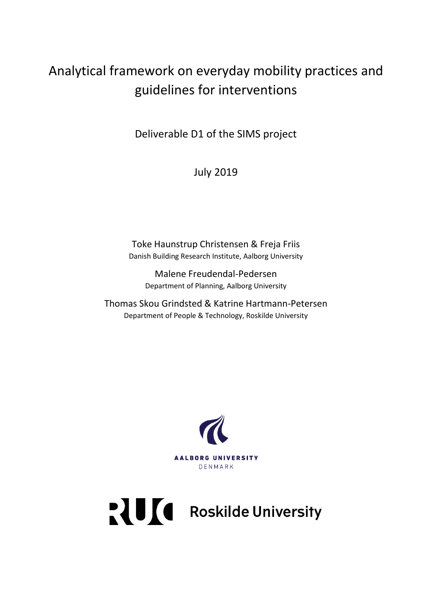# Analytical framework on everyday mobility practices and guidelines for interventions

Deliverable D1 of the SIMS project

July 2019

Toke Haunstrup Christensen & Freja Friis Danish Building Research Institute, Aalborg University

Malene Freudendal-Pedersen Department of Planning, Aalborg University

Thomas Skou Grindsted & Katrine Hartmann-Petersen Department of People & Technology, Roskilde University



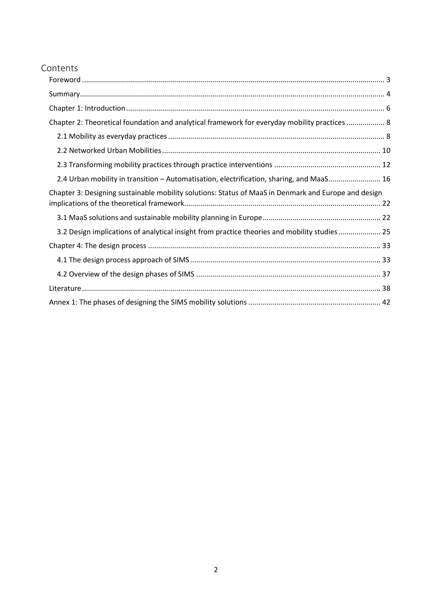# Contents

| Chapter 2: Theoretical foundation and analytical framework for everyday mobility practices  8        |
|------------------------------------------------------------------------------------------------------|
|                                                                                                      |
|                                                                                                      |
|                                                                                                      |
| 2.4 Urban mobility in transition - Automatisation, electrification, sharing, and MaaS 16             |
| Chapter 3: Designing sustainable mobility solutions: Status of MaaS in Denmark and Europe and design |
|                                                                                                      |
| 3.2 Design implications of analytical insight from practice theories and mobility studies 25         |
|                                                                                                      |
|                                                                                                      |
|                                                                                                      |
|                                                                                                      |
|                                                                                                      |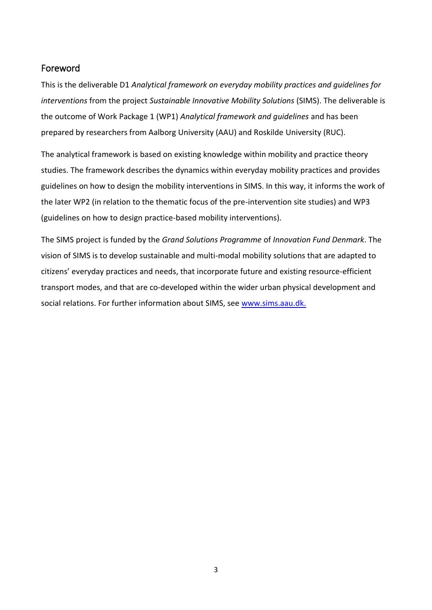# <span id="page-2-0"></span>Foreword

This is the deliverable D1 *Analytical framework on everyday mobility practices and guidelines for interventions* from the project *Sustainable Innovative Mobility Solutions* (SIMS). The deliverable is the outcome of Work Package 1 (WP1) *Analytical framework and guidelines* and has been prepared by researchers from Aalborg University (AAU) and Roskilde University (RUC).

The analytical framework is based on existing knowledge within mobility and practice theory studies. The framework describes the dynamics within everyday mobility practices and provides guidelines on how to design the mobility interventions in SIMS. In this way, it informs the work of the later WP2 (in relation to the thematic focus of the pre-intervention site studies) and WP3 (guidelines on how to design practice-based mobility interventions).

The SIMS project is funded by the *Grand Solutions Programme* of *Innovation Fund Denmark*. The vision of SIMS is to develop sustainable and multi-modal mobility solutions that are adapted to citizens' everyday practices and needs, that incorporate future and existing resource-efficient transport modes, and that are co-developed within the wider urban physical development and social relations. For further information about SIMS, see [www.sims.aau.dk.](http://www.sims.aau.dk/)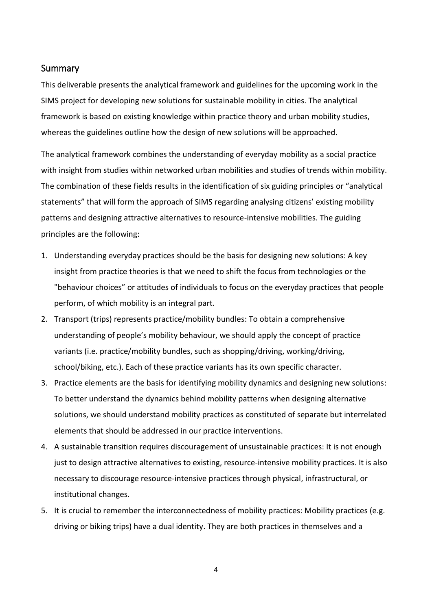### <span id="page-3-0"></span>**Summary**

This deliverable presents the analytical framework and guidelines for the upcoming work in the SIMS project for developing new solutions for sustainable mobility in cities. The analytical framework is based on existing knowledge within practice theory and urban mobility studies, whereas the guidelines outline how the design of new solutions will be approached.

The analytical framework combines the understanding of everyday mobility as a social practice with insight from studies within networked urban mobilities and studies of trends within mobility. The combination of these fields results in the identification of six guiding principles or "analytical statements" that will form the approach of SIMS regarding analysing citizens' existing mobility patterns and designing attractive alternatives to resource-intensive mobilities. The guiding principles are the following:

- 1. Understanding everyday practices should be the basis for designing new solutions: A key insight from practice theories is that we need to shift the focus from technologies or the "behaviour choices" or attitudes of individuals to focus on the everyday practices that people perform, of which mobility is an integral part.
- 2. Transport (trips) represents practice/mobility bundles: To obtain a comprehensive understanding of people's mobility behaviour, we should apply the concept of practice variants (i.e. practice/mobility bundles, such as shopping/driving, working/driving, school/biking, etc.). Each of these practice variants has its own specific character.
- 3. Practice elements are the basis for identifying mobility dynamics and designing new solutions: To better understand the dynamics behind mobility patterns when designing alternative solutions, we should understand mobility practices as constituted of separate but interrelated elements that should be addressed in our practice interventions.
- 4. A sustainable transition requires discouragement of unsustainable practices: It is not enough just to design attractive alternatives to existing, resource-intensive mobility practices. It is also necessary to discourage resource-intensive practices through physical, infrastructural, or institutional changes.
- 5. It is crucial to remember the interconnectedness of mobility practices: Mobility practices (e.g. driving or biking trips) have a dual identity. They are both practices in themselves and a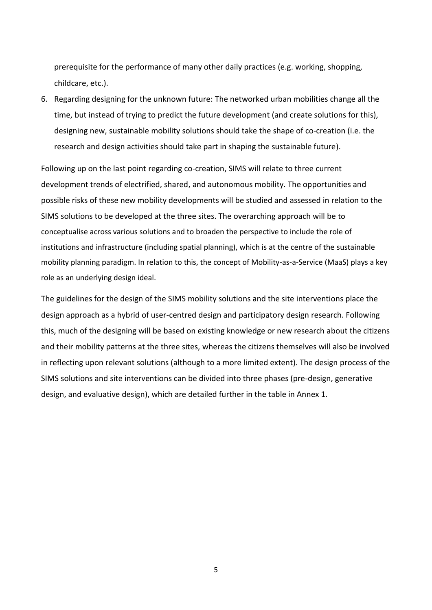prerequisite for the performance of many other daily practices (e.g. working, shopping, childcare, etc.).

6. Regarding designing for the unknown future: The networked urban mobilities change all the time, but instead of trying to predict the future development (and create solutions for this), designing new, sustainable mobility solutions should take the shape of co-creation (i.e. the research and design activities should take part in shaping the sustainable future).

Following up on the last point regarding co-creation, SIMS will relate to three current development trends of electrified, shared, and autonomous mobility. The opportunities and possible risks of these new mobility developments will be studied and assessed in relation to the SIMS solutions to be developed at the three sites. The overarching approach will be to conceptualise across various solutions and to broaden the perspective to include the role of institutions and infrastructure (including spatial planning), which is at the centre of the sustainable mobility planning paradigm. In relation to this, the concept of Mobility-as-a-Service (MaaS) plays a key role as an underlying design ideal.

The guidelines for the design of the SIMS mobility solutions and the site interventions place the design approach as a hybrid of user-centred design and participatory design research. Following this, much of the designing will be based on existing knowledge or new research about the citizens and their mobility patterns at the three sites, whereas the citizens themselves will also be involved in reflecting upon relevant solutions (although to a more limited extent). The design process of the SIMS solutions and site interventions can be divided into three phases (pre-design, generative design, and evaluative design), which are detailed further in the table in Annex 1.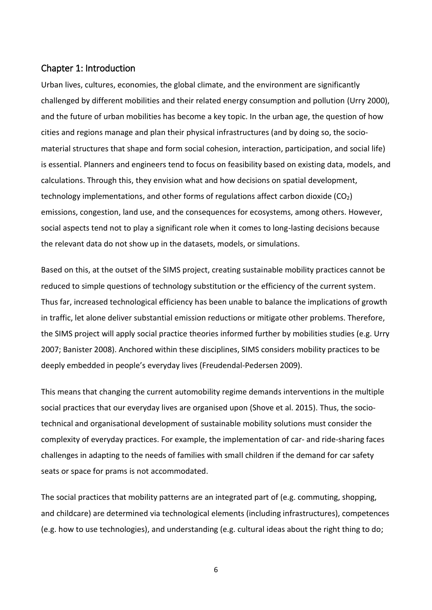### <span id="page-5-0"></span>Chapter 1: Introduction

Urban lives, cultures, economies, the global climate, and the environment are significantly challenged by different mobilities and their related energy consumption and pollution (Urry 2000), and the future of urban mobilities has become a key topic. In the urban age, the question of how cities and regions manage and plan their physical infrastructures (and by doing so, the sociomaterial structures that shape and form social cohesion, interaction, participation, and social life) is essential. Planners and engineers tend to focus on feasibility based on existing data, models, and calculations. Through this, they envision what and how decisions on spatial development, technology implementations, and other forms of regulations affect carbon dioxide  $(CO<sub>2</sub>)$ emissions, congestion, land use, and the consequences for ecosystems, among others. However, social aspects tend not to play a significant role when it comes to long-lasting decisions because the relevant data do not show up in the datasets, models, or simulations.

Based on this, at the outset of the SIMS project, creating sustainable mobility practices cannot be reduced to simple questions of technology substitution or the efficiency of the current system. Thus far, increased technological efficiency has been unable to balance the implications of growth in traffic, let alone deliver substantial emission reductions or mitigate other problems. Therefore, the SIMS project will apply social practice theories informed further by mobilities studies (e.g. Urry 2007; Banister 2008). Anchored within these disciplines, SIMS considers mobility practices to be deeply embedded in people's everyday lives (Freudendal-Pedersen 2009).

This means that changing the current automobility regime demands interventions in the multiple social practices that our everyday lives are organised upon (Shove et al. 2015). Thus, the sociotechnical and organisational development of sustainable mobility solutions must consider the complexity of everyday practices. For example, the implementation of car- and ride-sharing faces challenges in adapting to the needs of families with small children if the demand for car safety seats or space for prams is not accommodated.

The social practices that mobility patterns are an integrated part of (e.g. commuting, shopping, and childcare) are determined via technological elements (including infrastructures), competences (e.g. how to use technologies), and understanding (e.g. cultural ideas about the right thing to do;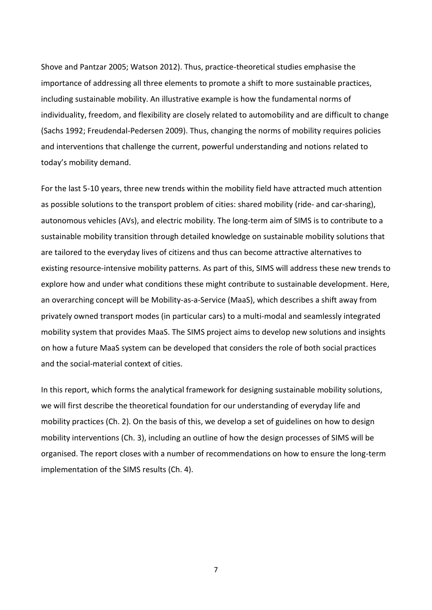Shove and Pantzar 2005; Watson 2012). Thus, practice-theoretical studies emphasise the importance of addressing all three elements to promote a shift to more sustainable practices, including sustainable mobility. An illustrative example is how the fundamental norms of individuality, freedom, and flexibility are closely related to automobility and are difficult to change (Sachs 1992; Freudendal-Pedersen 2009). Thus, changing the norms of mobility requires policies and interventions that challenge the current, powerful understanding and notions related to today's mobility demand.

For the last 5-10 years, three new trends within the mobility field have attracted much attention as possible solutions to the transport problem of cities: shared mobility (ride- and car-sharing), autonomous vehicles (AVs), and electric mobility. The long-term aim of SIMS is to contribute to a sustainable mobility transition through detailed knowledge on sustainable mobility solutions that are tailored to the everyday lives of citizens and thus can become attractive alternatives to existing resource-intensive mobility patterns. As part of this, SIMS will address these new trends to explore how and under what conditions these might contribute to sustainable development. Here, an overarching concept will be Mobility-as-a-Service (MaaS), which describes a shift away from privately owned transport modes (in particular cars) to a multi-modal and seamlessly integrated mobility system that provides MaaS. The SIMS project aims to develop new solutions and insights on how a future MaaS system can be developed that considers the role of both social practices and the social-material context of cities.

In this report, which forms the analytical framework for designing sustainable mobility solutions, we will first describe the theoretical foundation for our understanding of everyday life and mobility practices (Ch. 2). On the basis of this, we develop a set of guidelines on how to design mobility interventions (Ch. 3), including an outline of how the design processes of SIMS will be organised. The report closes with a number of recommendations on how to ensure the long-term implementation of the SIMS results (Ch. 4).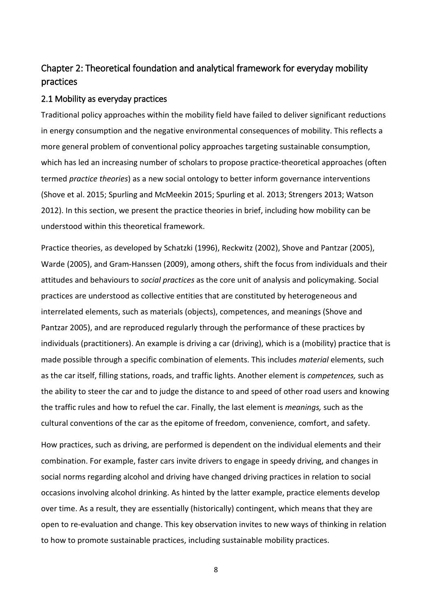# <span id="page-7-0"></span>Chapter 2: Theoretical foundation and analytical framework for everyday mobility practices

#### <span id="page-7-1"></span>2.1 Mobility as everyday practices

Traditional policy approaches within the mobility field have failed to deliver significant reductions in energy consumption and the negative environmental consequences of mobility. This reflects a more general problem of conventional policy approaches targeting sustainable consumption, which has led an increasing number of scholars to propose practice-theoretical approaches (often termed *practice theories*) as a new social ontology to better inform governance interventions (Shove et al. 2015; Spurling and McMeekin 2015; Spurling et al. 2013; Strengers 2013; Watson 2012). In this section, we present the practice theories in brief, including how mobility can be understood within this theoretical framework.

Practice theories, as developed by Schatzki (1996), Reckwitz (2002), Shove and Pantzar (2005), Warde (2005), and Gram-Hanssen (2009), among others, shift the focus from individuals and their attitudes and behaviours to *social practices* as the core unit of analysis and policymaking. Social practices are understood as collective entities that are constituted by heterogeneous and interrelated elements, such as materials (objects), competences, and meanings (Shove and Pantzar 2005), and are reproduced regularly through the performance of these practices by individuals (practitioners). An example is driving a car (driving), which is a (mobility) practice that is made possible through a specific combination of elements. This includes *material* elements, such as the car itself, filling stations, roads, and traffic lights. Another element is *competences,* such as the ability to steer the car and to judge the distance to and speed of other road users and knowing the traffic rules and how to refuel the car. Finally, the last element is *meanings,* such as the cultural conventions of the car as the epitome of freedom, convenience, comfort, and safety.

How practices, such as driving, are performed is dependent on the individual elements and their combination. For example, faster cars invite drivers to engage in speedy driving, and changes in social norms regarding alcohol and driving have changed driving practices in relation to social occasions involving alcohol drinking. As hinted by the latter example, practice elements develop over time. As a result, they are essentially (historically) contingent, which means that they are open to re-evaluation and change. This key observation invites to new ways of thinking in relation to how to promote sustainable practices, including sustainable mobility practices.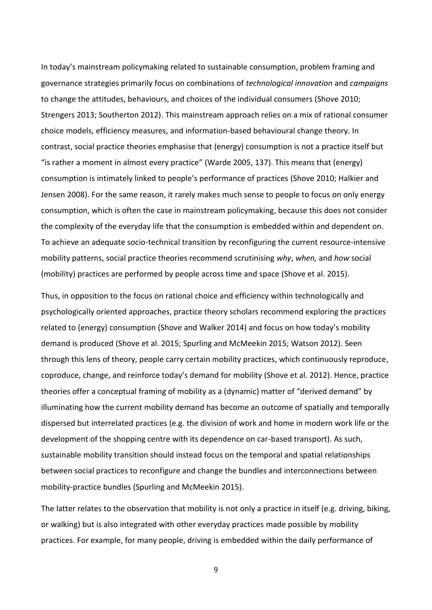In today's mainstream policymaking related to sustainable consumption, problem framing and governance strategies primarily focus on combinations of *technological innovation* and *campaigns* to change the attitudes, behaviours, and choices of the individual consumers (Shove 2010; Strengers 2013; Southerton 2012). This mainstream approach relies on a mix of rational consumer choice models, efficiency measures, and information-based behavioural change theory. In contrast, social practice theories emphasise that (energy) consumption is not a practice itself but "is rather a moment in almost every practice" (Warde 2005, 137). This means that (energy) consumption is intimately linked to people's performance of practices (Shove 2010; Halkier and Jensen 2008). For the same reason, it rarely makes much sense to people to focus on only energy consumption, which is often the case in mainstream policymaking, because this does not consider the complexity of the everyday life that the consumption is embedded within and dependent on. To achieve an adequate socio-technical transition by reconfiguring the current resource-intensive mobility patterns, social practice theories recommend scrutinising *why*, *when,* and *how* social (mobility) practices are performed by people across time and space (Shove et al. 2015).

Thus, in opposition to the focus on rational choice and efficiency within technologically and psychologically oriented approaches, practice theory scholars recommend exploring the practices related to (energy) consumption (Shove and Walker 2014) and focus on how today's mobility demand is produced (Shove et al. 2015; Spurling and McMeekin 2015; Watson 2012). Seen through this lens of theory, people carry certain mobility practices, which continuously reproduce, coproduce, change, and reinforce today's demand for mobility (Shove et al. 2012). Hence, practice theories offer a conceptual framing of mobility as a (dynamic) matter of "derived demand" by illuminating how the current mobility demand has become an outcome of spatially and temporally dispersed but interrelated practices (e.g. the division of work and home in modern work life or the development of the shopping centre with its dependence on car-based transport). As such, sustainable mobility transition should instead focus on the temporal and spatial relationships between social practices to reconfigure and change the bundles and interconnections between mobility-practice bundles (Spurling and McMeekin 2015).

The latter relates to the observation that mobility is not only a practice in itself (e.g. driving, biking, or walking) but is also integrated with other everyday practices made possible by mobility practices. For example, for many people, driving is embedded within the daily performance of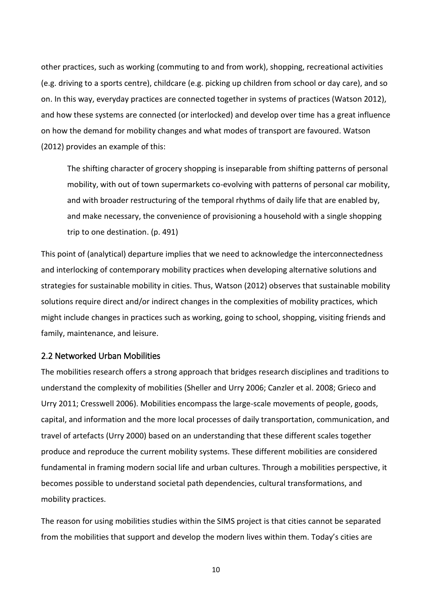other practices, such as working (commuting to and from work), shopping, recreational activities (e.g. driving to a sports centre), childcare (e.g. picking up children from school or day care), and so on. In this way, everyday practices are connected together in systems of practices (Watson 2012), and how these systems are connected (or interlocked) and develop over time has a great influence on how the demand for mobility changes and what modes of transport are favoured. Watson (2012) provides an example of this:

The shifting character of grocery shopping is inseparable from shifting patterns of personal mobility, with out of town supermarkets co-evolving with patterns of personal car mobility, and with broader restructuring of the temporal rhythms of daily life that are enabled by, and make necessary, the convenience of provisioning a household with a single shopping trip to one destination. (p. 491)

This point of (analytical) departure implies that we need to acknowledge the interconnectedness and interlocking of contemporary mobility practices when developing alternative solutions and strategies for sustainable mobility in cities. Thus, Watson (2012) observes that sustainable mobility solutions require direct and/or indirect changes in the complexities of mobility practices, which might include changes in practices such as working, going to school, shopping, visiting friends and family, maintenance, and leisure.

#### <span id="page-9-0"></span>2.2 Networked Urban Mobilities

The mobilities research offers a strong approach that bridges research disciplines and traditions to understand the complexity of mobilities (Sheller and Urry 2006; Canzler et al. 2008; Grieco and Urry 2011; Cresswell 2006). Mobilities encompass the large-scale movements of people, goods, capital, and information and the more local processes of daily transportation, communication, and travel of artefacts (Urry 2000) based on an understanding that these different scales together produce and reproduce the current mobility systems. These different mobilities are considered fundamental in framing modern social life and urban cultures. Through a mobilities perspective, it becomes possible to understand societal path dependencies, cultural transformations, and mobility practices.

The reason for using mobilities studies within the SIMS project is that cities cannot be separated from the mobilities that support and develop the modern lives within them. Today's cities are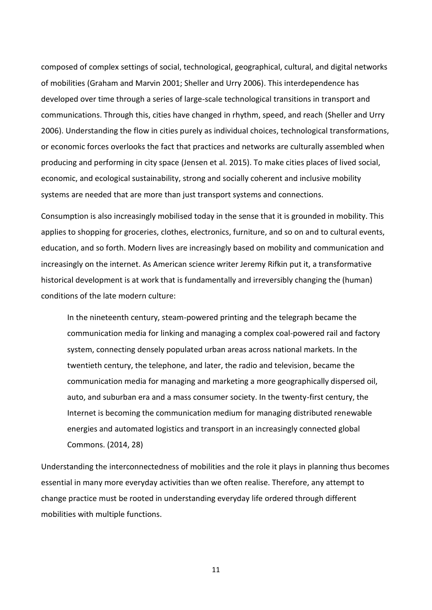composed of complex settings of social, technological, geographical, cultural, and digital networks of mobilities (Graham and Marvin 2001; Sheller and Urry 2006). This interdependence has developed over time through a series of large-scale technological transitions in transport and communications. Through this, cities have changed in rhythm, speed, and reach (Sheller and Urry 2006). Understanding the flow in cities purely as individual choices, technological transformations, or economic forces overlooks the fact that practices and networks are culturally assembled when producing and performing in city space (Jensen et al. 2015). To make cities places of lived social, economic, and ecological sustainability, strong and socially coherent and inclusive mobility systems are needed that are more than just transport systems and connections.

Consumption is also increasingly mobilised today in the sense that it is grounded in mobility. This applies to shopping for groceries, clothes, electronics, furniture, and so on and to cultural events, education, and so forth. Modern lives are increasingly based on mobility and communication and increasingly on the internet. As American science writer Jeremy Rifkin put it, a transformative historical development is at work that is fundamentally and irreversibly changing the (human) conditions of the late modern culture:

In the nineteenth century, steam-powered printing and the telegraph became the communication media for linking and managing a complex coal-powered rail and factory system, connecting densely populated urban areas across national markets. In the twentieth century, the telephone, and later, the radio and television, became the communication media for managing and marketing a more geographically dispersed oil, auto, and suburban era and a mass consumer society. In the twenty-first century, the Internet is becoming the communication medium for managing distributed renewable energies and automated logistics and transport in an increasingly connected global Commons. (2014, 28)

Understanding the interconnectedness of mobilities and the role it plays in planning thus becomes essential in many more everyday activities than we often realise. Therefore, any attempt to change practice must be rooted in understanding everyday life ordered through different mobilities with multiple functions.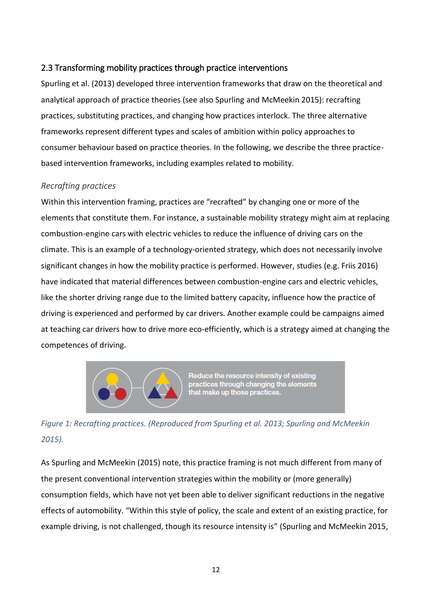# <span id="page-11-0"></span>2.3 Transforming mobility practices through practice interventions

Spurling et al. (2013) developed three intervention frameworks that draw on the theoretical and analytical approach of practice theories (see also Spurling and McMeekin 2015): recrafting practices, substituting practices, and changing how practices interlock. The three alternative frameworks represent different types and scales of ambition within policy approaches to consumer behaviour based on practice theories. In the following, we describe the three practicebased intervention frameworks, including examples related to mobility.

# *Recrafting practices*

Within this intervention framing, practices are "recrafted" by changing one or more of the elements that constitute them. For instance, a sustainable mobility strategy might aim at replacing combustion-engine cars with electric vehicles to reduce the influence of driving cars on the climate. This is an example of a technology-oriented strategy, which does not necessarily involve significant changes in how the mobility practice is performed. However, studies (e.g. Friis 2016) have indicated that material differences between combustion-engine cars and electric vehicles, like the shorter driving range due to the limited battery capacity, influence how the practice of driving is experienced and performed by car drivers. Another example could be campaigns aimed at teaching car drivers how to drive more eco-efficiently, which is a strategy aimed at changing the competences of driving.



Reduce the resource intensity of existing practices through changing the elements that make up those practices.

*Figure 1: Recrafting practices. (Reproduced from Spurling et al. 2013; Spurling and McMeekin 2015).*

As Spurling and McMeekin (2015) note, this practice framing is not much different from many of the present conventional intervention strategies within the mobility or (more generally) consumption fields, which have not yet been able to deliver significant reductions in the negative effects of automobility. "Within this style of policy, the scale and extent of an existing practice, for example driving, is not challenged, though its resource intensity is" (Spurling and McMeekin 2015,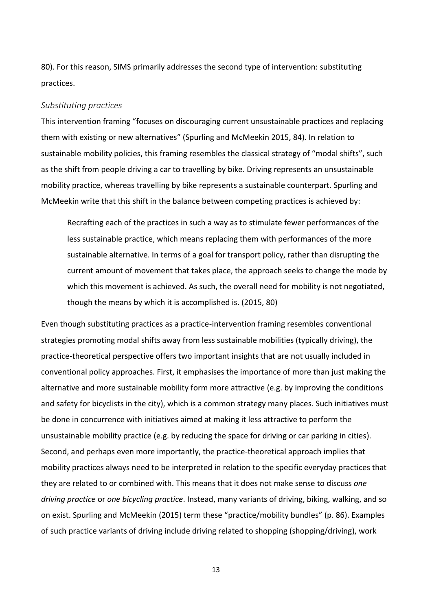80). For this reason, SIMS primarily addresses the second type of intervention: substituting practices.

#### *Substituting practices*

This intervention framing "focuses on discouraging current unsustainable practices and replacing them with existing or new alternatives" (Spurling and McMeekin 2015, 84). In relation to sustainable mobility policies, this framing resembles the classical strategy of "modal shifts", such as the shift from people driving a car to travelling by bike. Driving represents an unsustainable mobility practice, whereas travelling by bike represents a sustainable counterpart. Spurling and McMeekin write that this shift in the balance between competing practices is achieved by:

Recrafting each of the practices in such a way as to stimulate fewer performances of the less sustainable practice, which means replacing them with performances of the more sustainable alternative. In terms of a goal for transport policy, rather than disrupting the current amount of movement that takes place, the approach seeks to change the mode by which this movement is achieved. As such, the overall need for mobility is not negotiated, though the means by which it is accomplished is. (2015, 80)

Even though substituting practices as a practice-intervention framing resembles conventional strategies promoting modal shifts away from less sustainable mobilities (typically driving), the practice-theoretical perspective offers two important insights that are not usually included in conventional policy approaches. First, it emphasises the importance of more than just making the alternative and more sustainable mobility form more attractive (e.g. by improving the conditions and safety for bicyclists in the city), which is a common strategy many places. Such initiatives must be done in concurrence with initiatives aimed at making it less attractive to perform the unsustainable mobility practice (e.g. by reducing the space for driving or car parking in cities). Second, and perhaps even more importantly, the practice-theoretical approach implies that mobility practices always need to be interpreted in relation to the specific everyday practices that they are related to or combined with. This means that it does not make sense to discuss *one driving practice* or *one bicycling practice*. Instead, many variants of driving, biking, walking, and so on exist. Spurling and McMeekin (2015) term these "practice/mobility bundles" (p. 86). Examples of such practice variants of driving include driving related to shopping (shopping/driving), work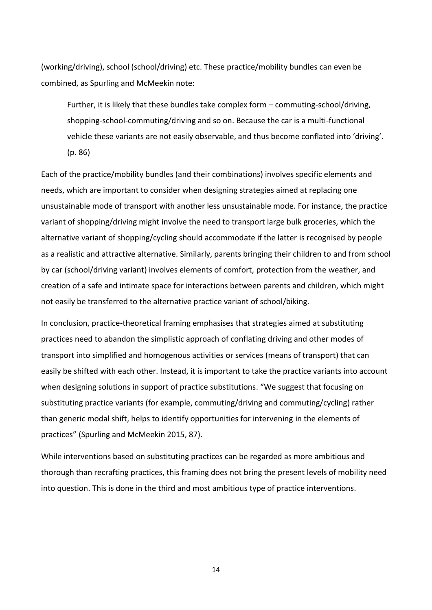(working/driving), school (school/driving) etc. These practice/mobility bundles can even be combined, as Spurling and McMeekin note:

Further, it is likely that these bundles take complex form – commuting-school/driving, shopping-school-commuting/driving and so on. Because the car is a multi-functional vehicle these variants are not easily observable, and thus become conflated into 'driving'. (p. 86)

Each of the practice/mobility bundles (and their combinations) involves specific elements and needs, which are important to consider when designing strategies aimed at replacing one unsustainable mode of transport with another less unsustainable mode. For instance, the practice variant of shopping/driving might involve the need to transport large bulk groceries, which the alternative variant of shopping/cycling should accommodate if the latter is recognised by people as a realistic and attractive alternative. Similarly, parents bringing their children to and from school by car (school/driving variant) involves elements of comfort, protection from the weather, and creation of a safe and intimate space for interactions between parents and children, which might not easily be transferred to the alternative practice variant of school/biking.

In conclusion, practice-theoretical framing emphasises that strategies aimed at substituting practices need to abandon the simplistic approach of conflating driving and other modes of transport into simplified and homogenous activities or services (means of transport) that can easily be shifted with each other. Instead, it is important to take the practice variants into account when designing solutions in support of practice substitutions. "We suggest that focusing on substituting practice variants (for example, commuting/driving and commuting/cycling) rather than generic modal shift, helps to identify opportunities for intervening in the elements of practices" (Spurling and McMeekin 2015, 87).

While interventions based on substituting practices can be regarded as more ambitious and thorough than recrafting practices, this framing does not bring the present levels of mobility need into question. This is done in the third and most ambitious type of practice interventions.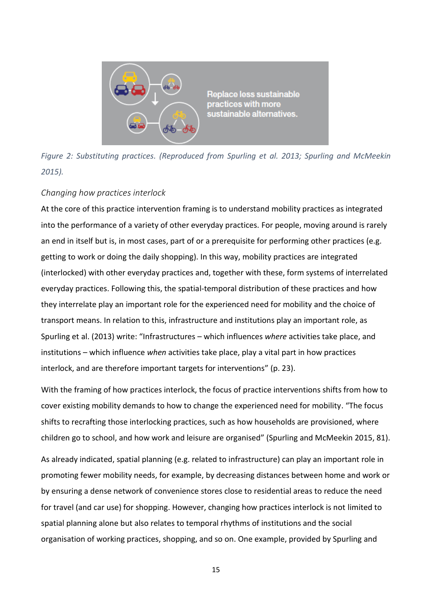

*Figure 2: Substituting practices. (Reproduced from Spurling et al. 2013; Spurling and McMeekin 2015).*

## *Changing how practices interlock*

At the core of this practice intervention framing is to understand mobility practices as integrated into the performance of a variety of other everyday practices. For people, moving around is rarely an end in itself but is, in most cases, part of or a prerequisite for performing other practices (e.g. getting to work or doing the daily shopping). In this way, mobility practices are integrated (interlocked) with other everyday practices and, together with these, form systems of interrelated everyday practices. Following this, the spatial-temporal distribution of these practices and how they interrelate play an important role for the experienced need for mobility and the choice of transport means. In relation to this, infrastructure and institutions play an important role, as Spurling et al. (2013) write: "Infrastructures – which influences *where* activities take place, and institutions – which influence *when* activities take place, play a vital part in how practices interlock, and are therefore important targets for interventions" (p. 23).

With the framing of how practices interlock, the focus of practice interventions shifts from how to cover existing mobility demands to how to change the experienced need for mobility. "The focus shifts to recrafting those interlocking practices, such as how households are provisioned, where children go to school, and how work and leisure are organised" (Spurling and McMeekin 2015, 81).

As already indicated, spatial planning (e.g. related to infrastructure) can play an important role in promoting fewer mobility needs, for example, by decreasing distances between home and work or by ensuring a dense network of convenience stores close to residential areas to reduce the need for travel (and car use) for shopping. However, changing how practices interlock is not limited to spatial planning alone but also relates to temporal rhythms of institutions and the social organisation of working practices, shopping, and so on. One example, provided by Spurling and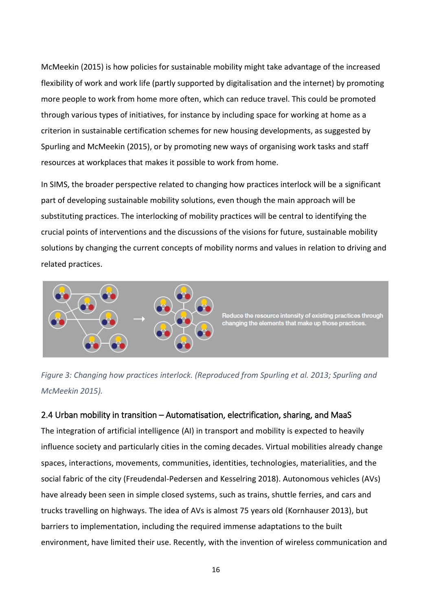McMeekin (2015) is how policies for sustainable mobility might take advantage of the increased flexibility of work and work life (partly supported by digitalisation and the internet) by promoting more people to work from home more often, which can reduce travel. This could be promoted through various types of initiatives, for instance by including space for working at home as a criterion in sustainable certification schemes for new housing developments, as suggested by Spurling and McMeekin (2015), or by promoting new ways of organising work tasks and staff resources at workplaces that makes it possible to work from home.

In SIMS, the broader perspective related to changing how practices interlock will be a significant part of developing sustainable mobility solutions, even though the main approach will be substituting practices. The interlocking of mobility practices will be central to identifying the crucial points of interventions and the discussions of the visions for future, sustainable mobility solutions by changing the current concepts of mobility norms and values in relation to driving and related practices.



*Figure 3: Changing how practices interlock. (Reproduced from Spurling et al. 2013; Spurling and McMeekin 2015).*

## <span id="page-15-0"></span>2.4 Urban mobility in transition – Automatisation, electrification, sharing, and MaaS

The integration of artificial intelligence (AI) in transport and mobility is expected to heavily influence society and particularly cities in the coming decades. Virtual mobilities already change spaces, interactions, movements, communities, identities, technologies, materialities, and the social fabric of the city (Freudendal-Pedersen and Kesselring 2018). Autonomous vehicles (AVs) have already been seen in simple closed systems, such as trains, shuttle ferries, and cars and trucks travelling on highways. The idea of AVs is almost 75 years old (Kornhauser 2013), but barriers to implementation, including the required immense adaptations to the built environment, have limited their use. Recently, with the invention of wireless communication and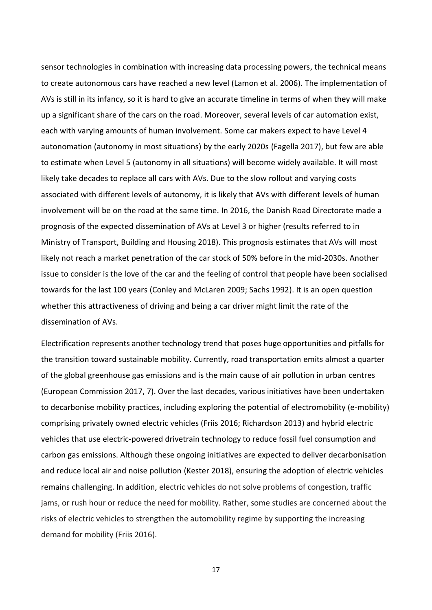sensor technologies in combination with increasing data processing powers, the technical means to create autonomous cars have reached a new level (Lamon et al. 2006). The implementation of AVs is still in its infancy, so it is hard to give an accurate timeline in terms of when they will make up a significant share of the cars on the road. Moreover, several levels of car automation exist, each with varying amounts of human involvement. Some car makers expect to have Level 4 autonomation (autonomy in most situations) by the early 2020s (Fagella 2017), but few are able to estimate when Level 5 (autonomy in all situations) will become widely available. It will most likely take decades to replace all cars with AVs. Due to the slow rollout and varying costs associated with different levels of autonomy, it is likely that AVs with different levels of human involvement will be on the road at the same time. In 2016, the Danish Road Directorate made a prognosis of the expected dissemination of AVs at Level 3 or higher (results referred to in Ministry of Transport, Building and Housing 2018). This prognosis estimates that AVs will most likely not reach a market penetration of the car stock of 50% before in the mid-2030s. Another issue to consider is the love of the car and the feeling of control that people have been socialised towards for the last 100 years (Conley and McLaren 2009; Sachs 1992). It is an open question whether this attractiveness of driving and being a car driver might limit the rate of the dissemination of AVs.

Electrification represents another technology trend that poses huge opportunities and pitfalls for the transition toward sustainable mobility. Currently, road transportation emits almost a quarter of the global greenhouse gas emissions and is the main cause of air pollution in urban centres (European Commission 2017, 7). Over the last decades, various initiatives have been undertaken to decarbonise mobility practices, including exploring the potential of electromobility (e-mobility) comprising privately owned electric vehicles (Friis 2016; Richardson 2013) and hybrid electric vehicles that use electric-powered drivetrain technology to reduce fossil fuel consumption and carbon gas emissions. Although these ongoing initiatives are expected to deliver decarbonisation and reduce local air and noise pollution (Kester 2018), ensuring the adoption of electric vehicles remains challenging. In addition, electric vehicles do not solve problems of congestion, traffic jams, or rush hour or reduce the need for mobility. Rather, some studies are concerned about the risks of electric vehicles to strengthen the automobility regime by supporting the increasing demand for mobility (Friis 2016).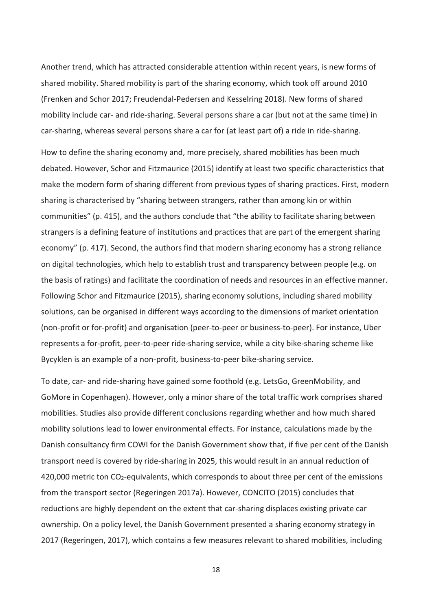Another trend, which has attracted considerable attention within recent years, is new forms of shared mobility. Shared mobility is part of the sharing economy, which took off around 2010 (Frenken and Schor 2017; Freudendal-Pedersen and Kesselring 2018). New forms of shared mobility include car- and ride-sharing. Several persons share a car (but not at the same time) in car-sharing, whereas several persons share a car for (at least part of) a ride in ride-sharing.

How to define the sharing economy and, more precisely, shared mobilities has been much debated. However, Schor and Fitzmaurice (2015) identify at least two specific characteristics that make the modern form of sharing different from previous types of sharing practices. First, modern sharing is characterised by "sharing between strangers, rather than among kin or within communities" (p. 415), and the authors conclude that "the ability to facilitate sharing between strangers is a defining feature of institutions and practices that are part of the emergent sharing economy" (p. 417). Second, the authors find that modern sharing economy has a strong reliance on digital technologies, which help to establish trust and transparency between people (e.g. on the basis of ratings) and facilitate the coordination of needs and resources in an effective manner. Following Schor and Fitzmaurice (2015), sharing economy solutions, including shared mobility solutions, can be organised in different ways according to the dimensions of market orientation (non-profit or for-profit) and organisation (peer-to-peer or business-to-peer). For instance, Uber represents a for-profit, peer-to-peer ride-sharing service, while a city bike-sharing scheme like Bycyklen is an example of a non-profit, business-to-peer bike-sharing service.

To date, car- and ride-sharing have gained some foothold (e.g. LetsGo, GreenMobility, and GoMore in Copenhagen). However, only a minor share of the total traffic work comprises shared mobilities. Studies also provide different conclusions regarding whether and how much shared mobility solutions lead to lower environmental effects. For instance, calculations made by the Danish consultancy firm COWI for the Danish Government show that, if five per cent of the Danish transport need is covered by ride-sharing in 2025, this would result in an annual reduction of 420,000 metric ton CO<sub>2</sub>-equivalents, which corresponds to about three per cent of the emissions from the transport sector (Regeringen 2017a). However, CONCITO (2015) concludes that reductions are highly dependent on the extent that car-sharing displaces existing private car ownership. On a policy level, the Danish Government presented a sharing economy strategy in 2017 (Regeringen, 2017), which contains a few measures relevant to shared mobilities, including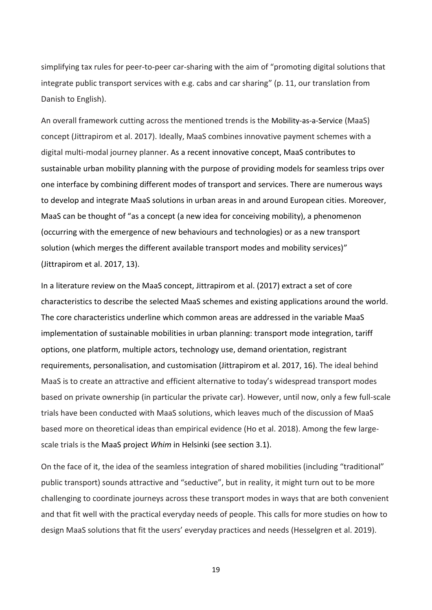simplifying tax rules for peer-to-peer car-sharing with the aim of "promoting digital solutions that integrate public transport services with e.g. cabs and car sharing" (p. 11, our translation from Danish to English).

An overall framework cutting across the mentioned trends is the Mobility-as-a-Service (MaaS) concept (Jittrapirom et al. 2017). Ideally, MaaS combines innovative payment schemes with a digital multi-modal journey planner. As a recent innovative concept, MaaS contributes to sustainable urban mobility planning with the purpose of providing models for seamless trips over one interface by combining different modes of transport and services. There are numerous ways to develop and integrate MaaS solutions in urban areas in and around European cities. Moreover, MaaS can be thought of "as a concept (a new idea for conceiving mobility), a phenomenon (occurring with the emergence of new behaviours and technologies) or as a new transport solution (which merges the different available transport modes and mobility services)" (Jittrapirom et al. 2017, 13).

In a literature review on the MaaS concept, Jittrapirom et al. (2017) extract a set of core characteristics to describe the selected MaaS schemes and existing applications around the world. The core characteristics underline which common areas are addressed in the variable MaaS implementation of sustainable mobilities in urban planning: transport mode integration, tariff options, one platform, multiple actors, technology use, demand orientation, registrant requirements, personalisation, and customisation (Jittrapirom et al. 2017, 16). The ideal behind MaaS is to create an attractive and efficient alternative to today's widespread transport modes based on private ownership (in particular the private car). However, until now, only a few full-scale trials have been conducted with MaaS solutions, which leaves much of the discussion of MaaS based more on theoretical ideas than empirical evidence (Ho et al. 2018). Among the few largescale trials is the MaaS project *Whim* in Helsinki (see section 3.1).

On the face of it, the idea of the seamless integration of shared mobilities (including "traditional" public transport) sounds attractive and "seductive", but in reality, it might turn out to be more challenging to coordinate journeys across these transport modes in ways that are both convenient and that fit well with the practical everyday needs of people. This calls for more studies on how to design MaaS solutions that fit the users' everyday practices and needs (Hesselgren et al. 2019).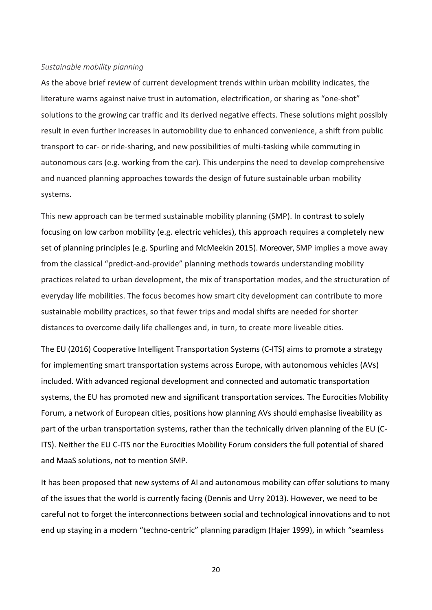#### *Sustainable mobility planning*

As the above brief review of current development trends within urban mobility indicates, the literature warns against naive trust in automation, electrification, or sharing as "one-shot" solutions to the growing car traffic and its derived negative effects. These solutions might possibly result in even further increases in automobility due to enhanced convenience, a shift from public transport to car- or ride-sharing, and new possibilities of multi-tasking while commuting in autonomous cars (e.g. working from the car). This underpins the need to develop comprehensive and nuanced planning approaches towards the design of future sustainable urban mobility systems.

This new approach can be termed sustainable mobility planning (SMP). In contrast to solely focusing on low carbon mobility (e.g. electric vehicles), this approach requires a completely new set of planning principles (e.g. Spurling and McMeekin 2015). Moreover, SMP implies a move away from the classical "predict-and-provide" planning methods towards understanding mobility practices related to urban development, the mix of transportation modes, and the structuration of everyday life mobilities. The focus becomes how smart city development can contribute to more sustainable mobility practices, so that fewer trips and modal shifts are needed for shorter distances to overcome daily life challenges and, in turn, to create more liveable cities.

The EU (2016) Cooperative Intelligent Transportation Systems (C-ITS) aims to promote a strategy for implementing smart transportation systems across Europe, with autonomous vehicles (AVs) included. With advanced regional development and connected and automatic transportation systems, the EU has promoted new and significant transportation services. The Eurocities Mobility Forum, a network of European cities, positions how planning AVs should emphasise liveability as part of the urban transportation systems, rather than the technically driven planning of the EU (C-ITS). Neither the EU C-ITS nor the Eurocities Mobility Forum considers the full potential of shared and MaaS solutions, not to mention SMP.

It has been proposed that new systems of AI and autonomous mobility can offer solutions to many of the issues that the world is currently facing (Dennis and Urry 2013). However, we need to be careful not to forget the interconnections between social and technological innovations and to not end up staying in a modern "techno-centric" planning paradigm (Hajer 1999), in which "seamless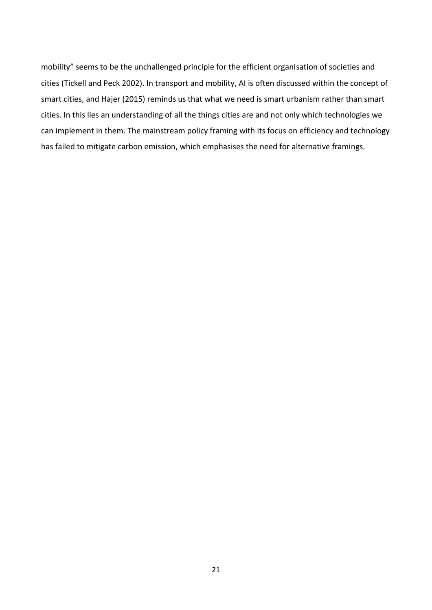mobility" seems to be the unchallenged principle for the efficient organisation of societies and cities (Tickell and Peck 2002). In transport and mobility, AI is often discussed within the concept of smart cities, and Hajer (2015) reminds us that what we need is smart urbanism rather than smart cities. In this lies an understanding of all the things cities are and not only which technologies we can implement in them. The mainstream policy framing with its focus on efficiency and technology has failed to mitigate carbon emission, which emphasises the need for alternative framings.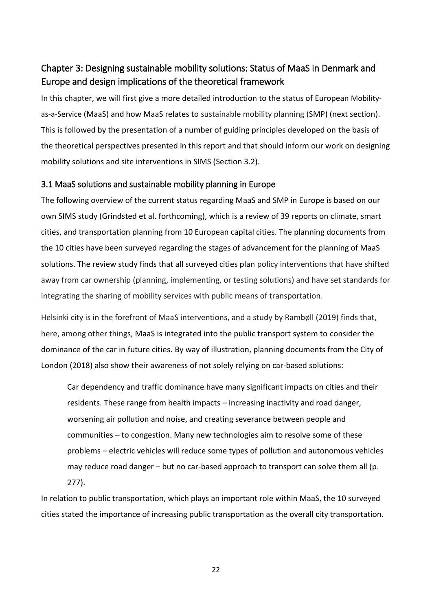# <span id="page-21-0"></span>Chapter 3: Designing sustainable mobility solutions: Status of MaaS in Denmark and Europe and design implications of the theoretical framework

In this chapter, we will first give a more detailed introduction to the status of European Mobilityas-a-Service (MaaS) and how MaaS relates to sustainable mobility planning (SMP) (next section). This is followed by the presentation of a number of guiding principles developed on the basis of the theoretical perspectives presented in this report and that should inform our work on designing mobility solutions and site interventions in SIMS (Section 3.2).

## <span id="page-21-1"></span>3.1 MaaS solutions and sustainable mobility planning in Europe

The following overview of the current status regarding MaaS and SMP in Europe is based on our own SIMS study (Grindsted et al. forthcoming), which is a review of 39 reports on climate, smart cities, and transportation planning from 10 European capital cities. The planning documents from the 10 cities have been surveyed regarding the stages of advancement for the planning of MaaS solutions. The review study finds that all surveyed cities plan policy interventions that have shifted away from car ownership (planning, implementing, or testing solutions) and have set standards for integrating the sharing of mobility services with public means of transportation.

Helsinki city is in the forefront of MaaS interventions, and a study by Rambøll (2019) finds that, here, among other things, MaaS is integrated into the public transport system to consider the dominance of the car in future cities. By way of illustration, planning documents from the City of London (2018) also show their awareness of not solely relying on car-based solutions:

Car dependency and traffic dominance have many significant impacts on cities and their residents. These range from health impacts – increasing inactivity and road danger, worsening air pollution and noise, and creating severance between people and communities – to congestion. Many new technologies aim to resolve some of these problems – electric vehicles will reduce some types of pollution and autonomous vehicles may reduce road danger – but no car-based approach to transport can solve them all (p. 277).

In relation to public transportation, which plays an important role within MaaS, the 10 surveyed cities stated the importance of increasing public transportation as the overall city transportation.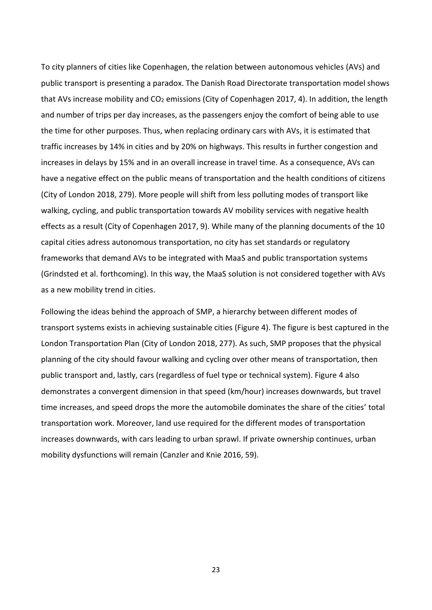To city planners of cities like Copenhagen, the relation between autonomous vehicles (AVs) and public transport is presenting a paradox. The Danish Road Directorate transportation model shows that AVs increase mobility and CO<sub>2</sub> emissions (City of Copenhagen 2017, 4). In addition, the length and number of trips per day increases, as the passengers enjoy the comfort of being able to use the time for other purposes. Thus, when replacing ordinary cars with AVs, it is estimated that traffic increases by 14% in cities and by 20% on highways. This results in further congestion and increases in delays by 15% and in an overall increase in travel time. As a consequence, AVs can have a negative effect on the public means of transportation and the health conditions of citizens (City of London 2018, 279). More people will shift from less polluting modes of transport like walking, cycling, and public transportation towards AV mobility services with negative health effects as a result (City of Copenhagen 2017, 9). While many of the planning documents of the 10 capital cities adress autonomous transportation, no city has set standards or regulatory frameworks that demand AVs to be integrated with MaaS and public transportation systems (Grindsted et al. forthcoming). In this way, the MaaS solution is not considered together with AVs as a new mobility trend in cities.

Following the ideas behind the approach of SMP, a hierarchy between different modes of transport systems exists in achieving sustainable cities (Figure 4). The figure is best captured in the London Transportation Plan (City of London 2018, 277). As such, SMP proposes that the physical planning of the city should favour walking and cycling over other means of transportation, then public transport and, lastly, cars (regardless of fuel type or technical system). Figure 4 also demonstrates a convergent dimension in that speed (km/hour) increases downwards, but travel time increases, and speed drops the more the automobile dominates the share of the cities' total transportation work. Moreover, land use required for the different modes of transportation increases downwards, with cars leading to urban sprawl. If private ownership continues, urban mobility dysfunctions will remain (Canzler and Knie 2016, 59).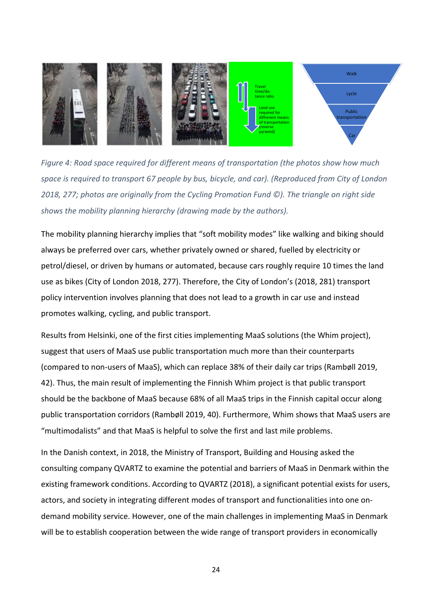

*Figure 4: Road space required for different means of transportation (the photos show how much space is required to transport 67 people by bus, bicycle, and car). (Reproduced from City of London 2018, 277; photos are originally from the Cycling Promotion Fund ©). The triangle on right side shows the mobility planning hierarchy (drawing made by the authors).*

The mobility planning hierarchy implies that "soft mobility modes" like walking and biking should always be preferred over cars, whether privately owned or shared, fuelled by electricity or petrol/diesel, or driven by humans or automated, because cars roughly require 10 times the land use as bikes (City of London 2018, 277). Therefore, the City of London's (2018, 281) transport policy intervention involves planning that does not lead to a growth in car use and instead promotes walking, cycling, and public transport.

Results from Helsinki, one of the first cities implementing MaaS solutions (the Whim project), suggest that users of MaaS use public transportation much more than their counterparts (compared to non-users of MaaS), which can replace 38% of their daily car trips (Rambøll 2019, 42). Thus, the main result of implementing the Finnish Whim project is that public transport should be the backbone of MaaS because 68% of all MaaS trips in the Finnish capital occur along public transportation corridors (Rambøll 2019, 40). Furthermore, Whim shows that MaaS users are "multimodalists" and that MaaS is helpful to solve the first and last mile problems.

In the Danish context, in 2018, the Ministry of Transport, Building and Housing asked the consulting company QVARTZ to examine the potential and barriers of MaaS in Denmark within the existing framework conditions. According to QVARTZ (2018), a significant potential exists for users, actors, and society in integrating different modes of transport and functionalities into one ondemand mobility service. However, one of the main challenges in implementing MaaS in Denmark will be to establish cooperation between the wide range of transport providers in economically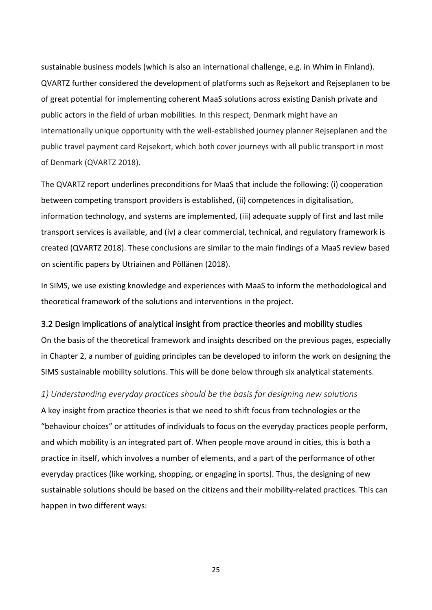sustainable business models (which is also an international challenge, e.g. in Whim in Finland). QVARTZ further considered the development of platforms such as Rejsekort and Rejseplanen to be of great potential for implementing coherent MaaS solutions across existing Danish private and public actors in the field of urban mobilities. In this respect, Denmark might have an internationally unique opportunity with the well-established journey planner Rejseplanen and the public travel payment card Rejsekort, which both cover journeys with all public transport in most of Denmark (QVARTZ 2018).

The QVARTZ report underlines preconditions for MaaS that include the following: (i) cooperation between competing transport providers is established, (ii) competences in digitalisation, information technology, and systems are implemented, (iii) adequate supply of first and last mile transport services is available, and (iv) a clear commercial, technical, and regulatory framework is created (QVARTZ 2018). These conclusions are similar to the main findings of a MaaS review based on scientific papers by Utriainen and Pöllänen (2018).

In SIMS, we use existing knowledge and experiences with MaaS to inform the methodological and theoretical framework of the solutions and interventions in the project.

#### <span id="page-24-0"></span>3.2 Design implications of analytical insight from practice theories and mobility studies

On the basis of the theoretical framework and insights described on the previous pages, especially in Chapter 2, a number of guiding principles can be developed to inform the work on designing the SIMS sustainable mobility solutions. This will be done below through six analytical statements.

*1) Understanding everyday practices should be the basis for designing new solutions* A key insight from practice theories is that we need to shift focus from technologies or the "behaviour choices" or attitudes of individuals to focus on the everyday practices people perform, and which mobility is an integrated part of. When people move around in cities, this is both a practice in itself, which involves a number of elements, and a part of the performance of other everyday practices (like working, shopping, or engaging in sports). Thus, the designing of new sustainable solutions should be based on the citizens and their mobility-related practices. This can happen in two different ways: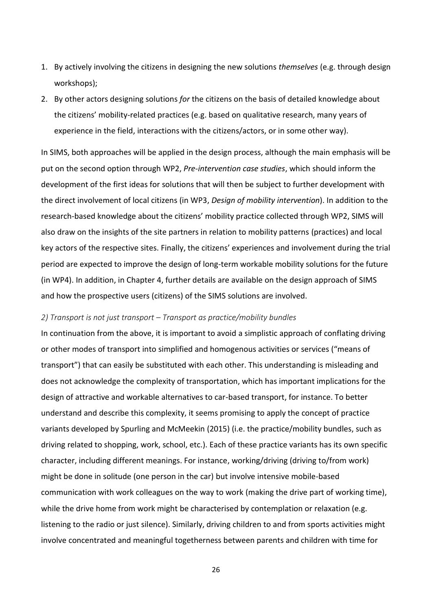- 1. By actively involving the citizens in designing the new solutions *themselves* (e.g. through design workshops);
- 2. By other actors designing solutions *for* the citizens on the basis of detailed knowledge about the citizens' mobility-related practices (e.g. based on qualitative research, many years of experience in the field, interactions with the citizens/actors, or in some other way).

In SIMS, both approaches will be applied in the design process, although the main emphasis will be put on the second option through WP2, *Pre-intervention case studies*, which should inform the development of the first ideas for solutions that will then be subject to further development with the direct involvement of local citizens (in WP3, *Design of mobility intervention*). In addition to the research-based knowledge about the citizens' mobility practice collected through WP2, SIMS will also draw on the insights of the site partners in relation to mobility patterns (practices) and local key actors of the respective sites. Finally, the citizens' experiences and involvement during the trial period are expected to improve the design of long-term workable mobility solutions for the future (in WP4). In addition, in Chapter 4, further details are available on the design approach of SIMS and how the prospective users (citizens) of the SIMS solutions are involved.

#### *2) Transport is not just transport – Transport as practice/mobility bundles*

In continuation from the above, it is important to avoid a simplistic approach of conflating driving or other modes of transport into simplified and homogenous activities or services ("means of transport") that can easily be substituted with each other. This understanding is misleading and does not acknowledge the complexity of transportation, which has important implications for the design of attractive and workable alternatives to car-based transport, for instance. To better understand and describe this complexity, it seems promising to apply the concept of practice variants developed by Spurling and McMeekin (2015) (i.e. the practice/mobility bundles, such as driving related to shopping, work, school, etc.). Each of these practice variants has its own specific character, including different meanings. For instance, working/driving (driving to/from work) might be done in solitude (one person in the car) but involve intensive mobile-based communication with work colleagues on the way to work (making the drive part of working time), while the drive home from work might be characterised by contemplation or relaxation (e.g. listening to the radio or just silence). Similarly, driving children to and from sports activities might involve concentrated and meaningful togetherness between parents and children with time for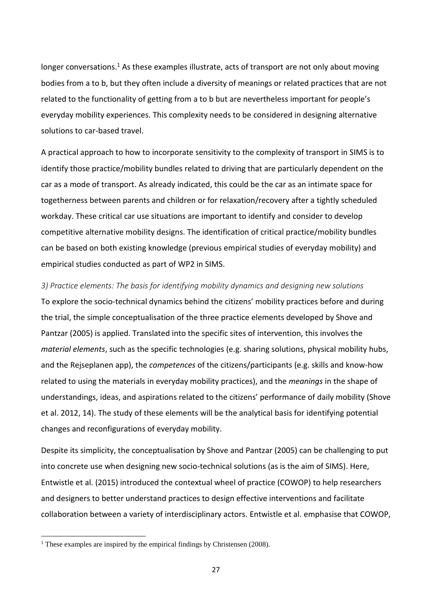longer conversations.<sup>1</sup> As these examples illustrate, acts of transport are not only about moving bodies from a to b, but they often include a diversity of meanings or related practices that are not related to the functionality of getting from a to b but are nevertheless important for people's everyday mobility experiences. This complexity needs to be considered in designing alternative solutions to car-based travel.

A practical approach to how to incorporate sensitivity to the complexity of transport in SIMS is to identify those practice/mobility bundles related to driving that are particularly dependent on the car as a mode of transport. As already indicated, this could be the car as an intimate space for togetherness between parents and children or for relaxation/recovery after a tightly scheduled workday. These critical car use situations are important to identify and consider to develop competitive alternative mobility designs. The identification of critical practice/mobility bundles can be based on both existing knowledge (previous empirical studies of everyday mobility) and empirical studies conducted as part of WP2 in SIMS.

*3) Practice elements: The basis for identifying mobility dynamics and designing new solutions* To explore the socio-technical dynamics behind the citizens' mobility practices before and during the trial, the simple conceptualisation of the three practice elements developed by Shove and Pantzar (2005) is applied. Translated into the specific sites of intervention, this involves the *material elements*, such as the specific technologies (e.g. sharing solutions, physical mobility hubs, and the Rejseplanen app), the *competences* of the citizens/participants (e.g. skills and know-how related to using the materials in everyday mobility practices), and the *meanings* in the shape of understandings, ideas, and aspirations related to the citizens' performance of daily mobility (Shove et al. 2012, 14). The study of these elements will be the analytical basis for identifying potential changes and reconfigurations of everyday mobility.

Despite its simplicity, the conceptualisation by Shove and Pantzar (2005) can be challenging to put into concrete use when designing new socio-technical solutions (as is the aim of SIMS). Here, Entwistle et al. (2015) introduced the contextual wheel of practice (COWOP) to help researchers and designers to better understand practices to design effective interventions and facilitate collaboration between a variety of interdisciplinary actors. Entwistle et al. emphasise that COWOP,

**.** 

<sup>&</sup>lt;sup>1</sup> These examples are inspired by the empirical findings by Christensen (2008).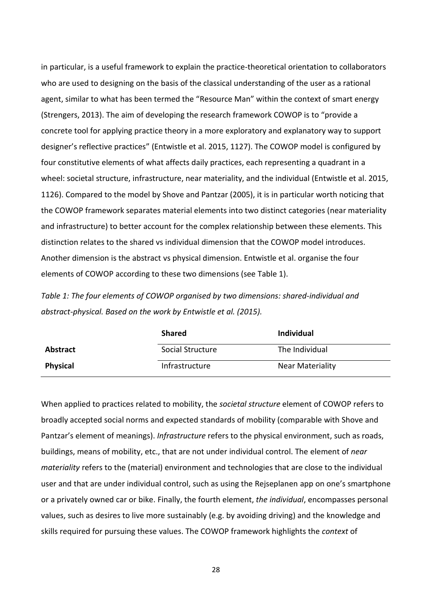in particular, is a useful framework to explain the practice-theoretical orientation to collaborators who are used to designing on the basis of the classical understanding of the user as a rational agent, similar to what has been termed the "Resource Man" within the context of smart energy (Strengers, 2013). The aim of developing the research framework COWOP is to "provide a concrete tool for applying practice theory in a more exploratory and explanatory way to support designer's reflective practices" (Entwistle et al. 2015, 1127). The COWOP model is configured by four constitutive elements of what affects daily practices, each representing a quadrant in a wheel: societal structure, infrastructure, near materiality, and the individual (Entwistle et al. 2015, 1126). Compared to the model by Shove and Pantzar (2005), it is in particular worth noticing that the COWOP framework separates material elements into two distinct categories (near materiality and infrastructure) to better account for the complex relationship between these elements. This distinction relates to the shared vs individual dimension that the COWOP model introduces. Another dimension is the abstract vs physical dimension. Entwistle et al. organise the four elements of COWOP according to these two dimensions (see Table 1).

*Table 1: The four elements of COWOP organised by two dimensions: shared-individual and abstract-physical. Based on the work by Entwistle et al. (2015).*

|                 | <b>Shared</b>    | <b>Individual</b>       |
|-----------------|------------------|-------------------------|
| <b>Abstract</b> | Social Structure | The Individual          |
| <b>Physical</b> | Infrastructure   | <b>Near Materiality</b> |

When applied to practices related to mobility, the *societal structure* element of COWOP refers to broadly accepted social norms and expected standards of mobility (comparable with Shove and Pantzar's element of meanings). *Infrastructure* refers to the physical environment, such as roads, buildings, means of mobility, etc., that are not under individual control. The element of *near materiality* refers to the (material) environment and technologies that are close to the individual user and that are under individual control, such as using the Rejseplanen app on one's smartphone or a privately owned car or bike. Finally, the fourth element, *the individual*, encompasses personal values, such as desires to live more sustainably (e.g. by avoiding driving) and the knowledge and skills required for pursuing these values. The COWOP framework highlights the *context* of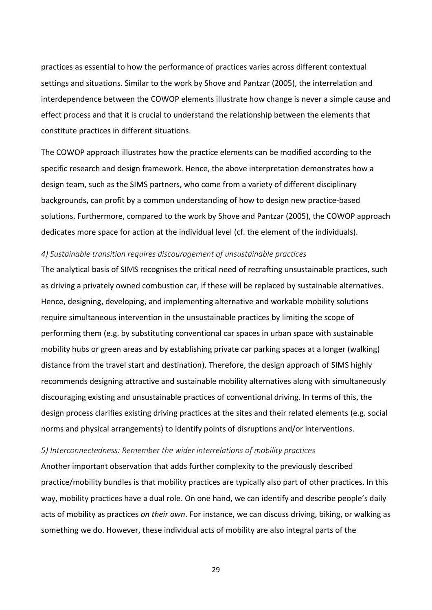practices as essential to how the performance of practices varies across different contextual settings and situations. Similar to the work by Shove and Pantzar (2005), the interrelation and interdependence between the COWOP elements illustrate how change is never a simple cause and effect process and that it is crucial to understand the relationship between the elements that constitute practices in different situations.

The COWOP approach illustrates how the practice elements can be modified according to the specific research and design framework. Hence, the above interpretation demonstrates how a design team, such as the SIMS partners, who come from a variety of different disciplinary backgrounds, can profit by a common understanding of how to design new practice-based solutions. Furthermore, compared to the work by Shove and Pantzar (2005), the COWOP approach dedicates more space for action at the individual level (cf. the element of the individuals).

#### *4) Sustainable transition requires discouragement of unsustainable practices*

The analytical basis of SIMS recognises the critical need of recrafting unsustainable practices, such as driving a privately owned combustion car, if these will be replaced by sustainable alternatives. Hence, designing, developing, and implementing alternative and workable mobility solutions require simultaneous intervention in the unsustainable practices by limiting the scope of performing them (e.g. by substituting conventional car spaces in urban space with sustainable mobility hubs or green areas and by establishing private car parking spaces at a longer (walking) distance from the travel start and destination). Therefore, the design approach of SIMS highly recommends designing attractive and sustainable mobility alternatives along with simultaneously discouraging existing and unsustainable practices of conventional driving. In terms of this, the design process clarifies existing driving practices at the sites and their related elements (e.g. social norms and physical arrangements) to identify points of disruptions and/or interventions.

#### *5) Interconnectedness: Remember the wider interrelations of mobility practices*

Another important observation that adds further complexity to the previously described practice/mobility bundles is that mobility practices are typically also part of other practices. In this way, mobility practices have a dual role. On one hand, we can identify and describe people's daily acts of mobility as practices *on their own*. For instance, we can discuss driving, biking, or walking as something we do. However, these individual acts of mobility are also integral parts of the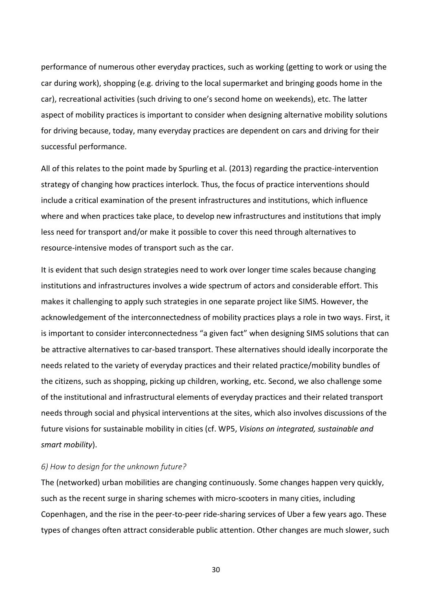performance of numerous other everyday practices, such as working (getting to work or using the car during work), shopping (e.g. driving to the local supermarket and bringing goods home in the car), recreational activities (such driving to one's second home on weekends), etc. The latter aspect of mobility practices is important to consider when designing alternative mobility solutions for driving because, today, many everyday practices are dependent on cars and driving for their successful performance.

All of this relates to the point made by Spurling et al. (2013) regarding the practice-intervention strategy of changing how practices interlock. Thus, the focus of practice interventions should include a critical examination of the present infrastructures and institutions, which influence where and when practices take place, to develop new infrastructures and institutions that imply less need for transport and/or make it possible to cover this need through alternatives to resource-intensive modes of transport such as the car.

It is evident that such design strategies need to work over longer time scales because changing institutions and infrastructures involves a wide spectrum of actors and considerable effort. This makes it challenging to apply such strategies in one separate project like SIMS. However, the acknowledgement of the interconnectedness of mobility practices plays a role in two ways. First, it is important to consider interconnectedness "a given fact" when designing SIMS solutions that can be attractive alternatives to car-based transport. These alternatives should ideally incorporate the needs related to the variety of everyday practices and their related practice/mobility bundles of the citizens, such as shopping, picking up children, working, etc. Second, we also challenge some of the institutional and infrastructural elements of everyday practices and their related transport needs through social and physical interventions at the sites, which also involves discussions of the future visions for sustainable mobility in cities (cf. WP5, *Visions on integrated, sustainable and smart mobility*).

#### *6) How to design for the unknown future?*

The (networked) urban mobilities are changing continuously. Some changes happen very quickly, such as the recent surge in sharing schemes with micro-scooters in many cities, including Copenhagen, and the rise in the peer-to-peer ride-sharing services of Uber a few years ago. These types of changes often attract considerable public attention. Other changes are much slower, such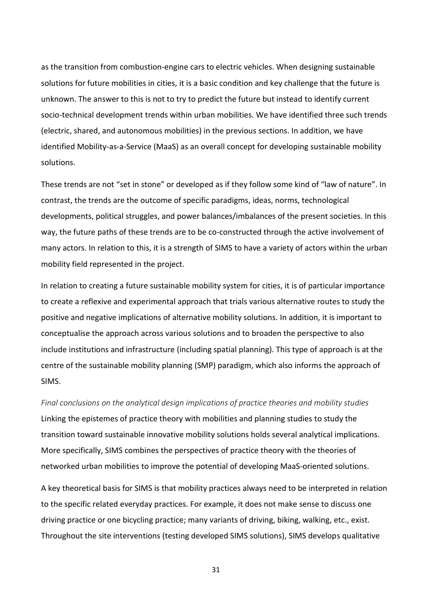as the transition from combustion-engine cars to electric vehicles. When designing sustainable solutions for future mobilities in cities, it is a basic condition and key challenge that the future is unknown. The answer to this is not to try to predict the future but instead to identify current socio-technical development trends within urban mobilities. We have identified three such trends (electric, shared, and autonomous mobilities) in the previous sections. In addition, we have identified Mobility-as-a-Service (MaaS) as an overall concept for developing sustainable mobility solutions.

These trends are not "set in stone" or developed as if they follow some kind of "law of nature". In contrast, the trends are the outcome of specific paradigms, ideas, norms, technological developments, political struggles, and power balances/imbalances of the present societies. In this way, the future paths of these trends are to be co-constructed through the active involvement of many actors. In relation to this, it is a strength of SIMS to have a variety of actors within the urban mobility field represented in the project.

In relation to creating a future sustainable mobility system for cities, it is of particular importance to create a reflexive and experimental approach that trials various alternative routes to study the positive and negative implications of alternative mobility solutions. In addition, it is important to conceptualise the approach across various solutions and to broaden the perspective to also include institutions and infrastructure (including spatial planning). This type of approach is at the centre of the sustainable mobility planning (SMP) paradigm, which also informs the approach of SIMS.

*Final conclusions on the analytical design implications of practice theories and mobility studies* Linking the epistemes of practice theory with mobilities and planning studies to study the transition toward sustainable innovative mobility solutions holds several analytical implications. More specifically, SIMS combines the perspectives of practice theory with the theories of networked urban mobilities to improve the potential of developing MaaS-oriented solutions.

A key theoretical basis for SIMS is that mobility practices always need to be interpreted in relation to the specific related everyday practices. For example, it does not make sense to discuss one driving practice or one bicycling practice; many variants of driving, biking, walking, etc., exist. Throughout the site interventions (testing developed SIMS solutions), SIMS develops qualitative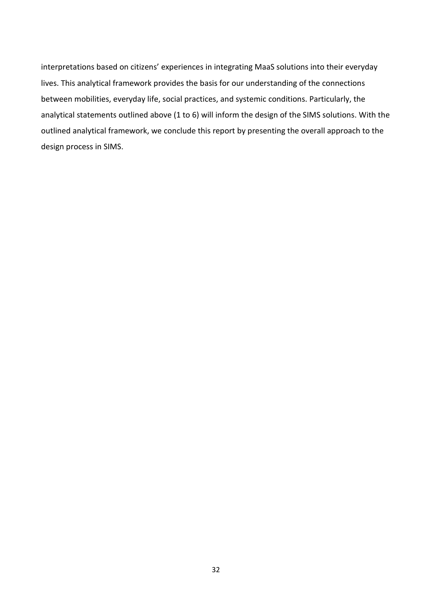interpretations based on citizens' experiences in integrating MaaS solutions into their everyday lives. This analytical framework provides the basis for our understanding of the connections between mobilities, everyday life, social practices, and systemic conditions. Particularly, the analytical statements outlined above (1 to 6) will inform the design of the SIMS solutions. With the outlined analytical framework, we conclude this report by presenting the overall approach to the design process in SIMS.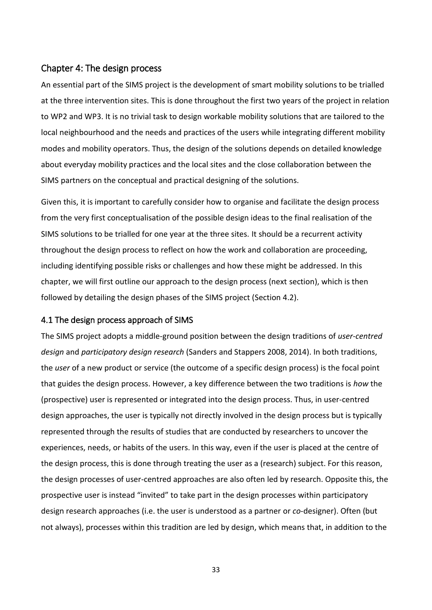## <span id="page-32-0"></span>Chapter 4: The design process

An essential part of the SIMS project is the development of smart mobility solutions to be trialled at the three intervention sites. This is done throughout the first two years of the project in relation to WP2 and WP3. It is no trivial task to design workable mobility solutions that are tailored to the local neighbourhood and the needs and practices of the users while integrating different mobility modes and mobility operators. Thus, the design of the solutions depends on detailed knowledge about everyday mobility practices and the local sites and the close collaboration between the SIMS partners on the conceptual and practical designing of the solutions.

Given this, it is important to carefully consider how to organise and facilitate the design process from the very first conceptualisation of the possible design ideas to the final realisation of the SIMS solutions to be trialled for one year at the three sites. It should be a recurrent activity throughout the design process to reflect on how the work and collaboration are proceeding, including identifying possible risks or challenges and how these might be addressed. In this chapter, we will first outline our approach to the design process (next section), which is then followed by detailing the design phases of the SIMS project (Section 4.2).

### <span id="page-32-1"></span>4.1 The design process approach of SIMS

The SIMS project adopts a middle-ground position between the design traditions of *user-centred design* and *participatory design research* (Sanders and Stappers 2008, 2014). In both traditions, the *user* of a new product or service (the outcome of a specific design process) is the focal point that guides the design process. However, a key difference between the two traditions is *how* the (prospective) user is represented or integrated into the design process. Thus, in user-centred design approaches, the user is typically not directly involved in the design process but is typically represented through the results of studies that are conducted by researchers to uncover the experiences, needs, or habits of the users. In this way, even if the user is placed at the centre of the design process, this is done through treating the user as a (research) subject. For this reason, the design processes of user-centred approaches are also often led by research. Opposite this, the prospective user is instead "invited" to take part in the design processes within participatory design research approaches (i.e. the user is understood as a partner or *co*-designer). Often (but not always), processes within this tradition are led by design, which means that, in addition to the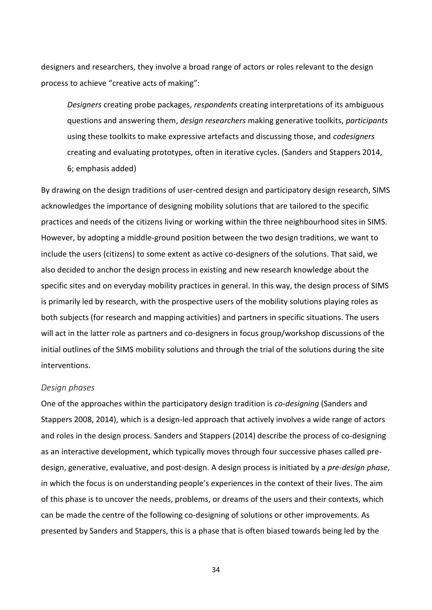designers and researchers, they involve a broad range of actors or roles relevant to the design process to achieve "creative acts of making":

*Designers* creating probe packages, *respondents* creating interpretations of its ambiguous questions and answering them, *design researchers* making generative toolkits, *participants* using these toolkits to make expressive artefacts and discussing those, and *codesigners* creating and evaluating prototypes, often in iterative cycles. (Sanders and Stappers 2014, 6; emphasis added)

By drawing on the design traditions of user-centred design and participatory design research, SIMS acknowledges the importance of designing mobility solutions that are tailored to the specific practices and needs of the citizens living or working within the three neighbourhood sites in SIMS. However, by adopting a middle-ground position between the two design traditions, we want to include the users (citizens) to some extent as active co-designers of the solutions. That said, we also decided to anchor the design process in existing and new research knowledge about the specific sites and on everyday mobility practices in general. In this way, the design process of SIMS is primarily led by research, with the prospective users of the mobility solutions playing roles as both subjects (for research and mapping activities) and partners in specific situations. The users will act in the latter role as partners and co-designers in focus group/workshop discussions of the initial outlines of the SIMS mobility solutions and through the trial of the solutions during the site interventions.

#### *Design phases*

One of the approaches within the participatory design tradition is *co-designing* (Sanders and Stappers 2008, 2014), which is a design-led approach that actively involves a wide range of actors and roles in the design process. Sanders and Stappers (2014) describe the process of co-designing as an interactive development, which typically moves through four successive phases called predesign, generative, evaluative, and post-design. A design process is initiated by a *pre-design phase*, in which the focus is on understanding people's experiences in the context of their lives. The aim of this phase is to uncover the needs, problems, or dreams of the users and their contexts, which can be made the centre of the following co-designing of solutions or other improvements. As presented by Sanders and Stappers, this is a phase that is often biased towards being led by the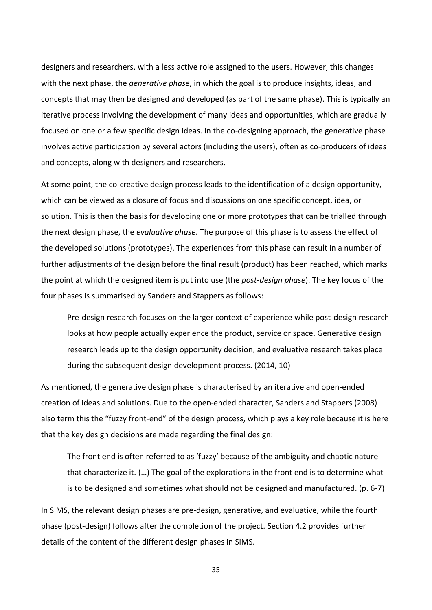designers and researchers, with a less active role assigned to the users. However, this changes with the next phase, the *generative phase*, in which the goal is to produce insights, ideas, and concepts that may then be designed and developed (as part of the same phase). This is typically an iterative process involving the development of many ideas and opportunities, which are gradually focused on one or a few specific design ideas. In the co-designing approach, the generative phase involves active participation by several actors (including the users), often as co-producers of ideas and concepts, along with designers and researchers.

At some point, the co-creative design process leads to the identification of a design opportunity, which can be viewed as a closure of focus and discussions on one specific concept, idea, or solution. This is then the basis for developing one or more prototypes that can be trialled through the next design phase, the *evaluative phase*. The purpose of this phase is to assess the effect of the developed solutions (prototypes). The experiences from this phase can result in a number of further adjustments of the design before the final result (product) has been reached, which marks the point at which the designed item is put into use (the *post-design phase*). The key focus of the four phases is summarised by Sanders and Stappers as follows:

Pre-design research focuses on the larger context of experience while post-design research looks at how people actually experience the product, service or space. Generative design research leads up to the design opportunity decision, and evaluative research takes place during the subsequent design development process. (2014, 10)

As mentioned, the generative design phase is characterised by an iterative and open-ended creation of ideas and solutions. Due to the open-ended character, Sanders and Stappers (2008) also term this the "fuzzy front-end" of the design process, which plays a key role because it is here that the key design decisions are made regarding the final design:

The front end is often referred to as 'fuzzy' because of the ambiguity and chaotic nature that characterize it. (…) The goal of the explorations in the front end is to determine what is to be designed and sometimes what should not be designed and manufactured. (p. 6-7)

In SIMS, the relevant design phases are pre-design, generative, and evaluative, while the fourth phase (post-design) follows after the completion of the project. Section 4.2 provides further details of the content of the different design phases in SIMS.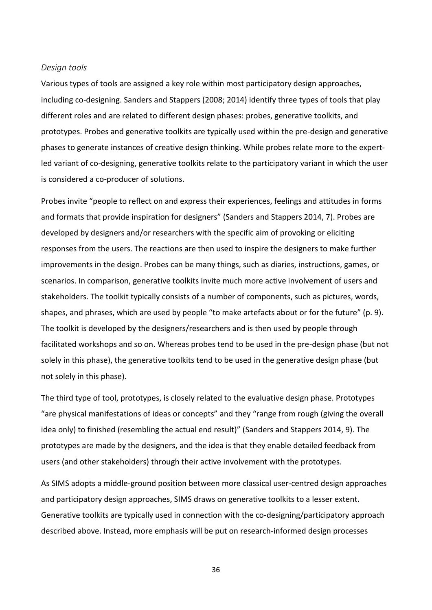#### *Design tools*

Various types of tools are assigned a key role within most participatory design approaches, including co-designing. Sanders and Stappers (2008; 2014) identify three types of tools that play different roles and are related to different design phases: probes, generative toolkits, and prototypes. Probes and generative toolkits are typically used within the pre-design and generative phases to generate instances of creative design thinking. While probes relate more to the expertled variant of co-designing, generative toolkits relate to the participatory variant in which the user is considered a co-producer of solutions.

Probes invite "people to reflect on and express their experiences, feelings and attitudes in forms and formats that provide inspiration for designers" (Sanders and Stappers 2014, 7). Probes are developed by designers and/or researchers with the specific aim of provoking or eliciting responses from the users. The reactions are then used to inspire the designers to make further improvements in the design. Probes can be many things, such as diaries, instructions, games, or scenarios. In comparison, generative toolkits invite much more active involvement of users and stakeholders. The toolkit typically consists of a number of components, such as pictures, words, shapes, and phrases, which are used by people "to make artefacts about or for the future" (p. 9). The toolkit is developed by the designers/researchers and is then used by people through facilitated workshops and so on. Whereas probes tend to be used in the pre-design phase (but not solely in this phase), the generative toolkits tend to be used in the generative design phase (but not solely in this phase).

The third type of tool, prototypes, is closely related to the evaluative design phase. Prototypes "are physical manifestations of ideas or concepts" and they "range from rough (giving the overall idea only) to finished (resembling the actual end result)" (Sanders and Stappers 2014, 9). The prototypes are made by the designers, and the idea is that they enable detailed feedback from users (and other stakeholders) through their active involvement with the prototypes.

As SIMS adopts a middle-ground position between more classical user-centred design approaches and participatory design approaches, SIMS draws on generative toolkits to a lesser extent. Generative toolkits are typically used in connection with the co-designing/participatory approach described above. Instead, more emphasis will be put on research-informed design processes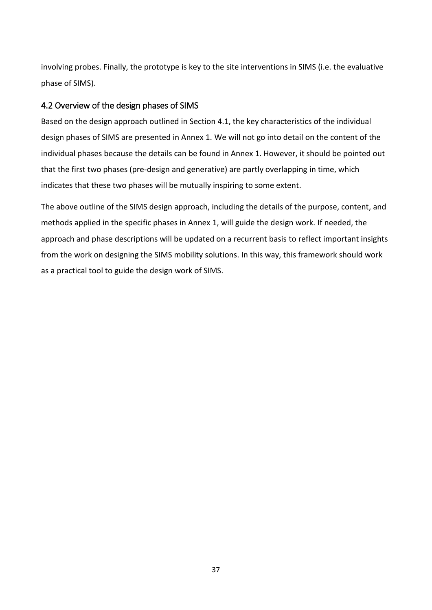involving probes. Finally, the prototype is key to the site interventions in SIMS (i.e. the evaluative phase of SIMS).

# <span id="page-36-0"></span>4.2 Overview of the design phases of SIMS

Based on the design approach outlined in Section 4.1, the key characteristics of the individual design phases of SIMS are presented in Annex 1. We will not go into detail on the content of the individual phases because the details can be found in Annex 1. However, it should be pointed out that the first two phases (pre-design and generative) are partly overlapping in time, which indicates that these two phases will be mutually inspiring to some extent.

The above outline of the SIMS design approach, including the details of the purpose, content, and methods applied in the specific phases in Annex 1, will guide the design work. If needed, the approach and phase descriptions will be updated on a recurrent basis to reflect important insights from the work on designing the SIMS mobility solutions. In this way, this framework should work as a practical tool to guide the design work of SIMS.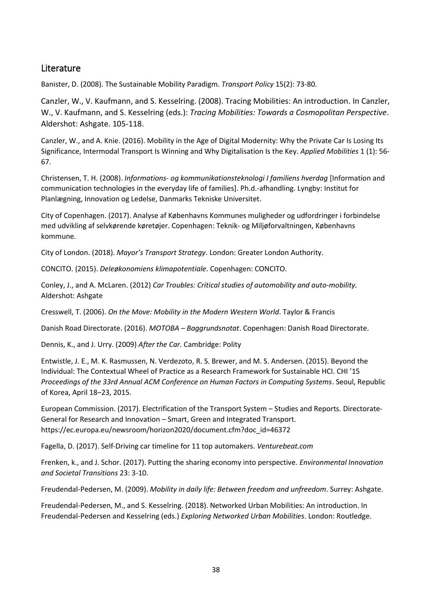# <span id="page-37-0"></span>**Literature**

Banister, D. (2008). The Sustainable Mobility Paradigm. *Transport Policy* 15(2): 73-80.

Canzler, W., V. Kaufmann, and S. Kesselring. (2008). Tracing Mobilities: An introduction. In Canzler, W., V. Kaufmann, and S. Kesselring (eds.): *Tracing Mobilities: Towards a Cosmopolitan Perspective*. Aldershot: Ashgate. 105-118.

Canzler, W., and A. Knie. (2016). Mobility in the Age of Digital Modernity: Why the Private Car Is Losing Its Significance, Intermodal Transport Is Winning and Why Digitalisation Is the Key. *Applied Mobilities* 1 (1): 56- 67.

Christensen, T. H. (2008). *Informations- og kommunikationsteknologi I familiens hverdag* [Information and communication technologies in the everyday life of families]. Ph.d.-afhandling. Lyngby: Institut for Planlægning, Innovation og Ledelse, Danmarks Tekniske Universitet.

City of Copenhagen. (2017). Analyse af Københavns Kommunes muligheder og udfordringer i forbindelse med udvikling af selvkørende køretøjer. Copenhagen: Teknik- og Miljøforvaltningen, Københavns kommune.

City of London. (2018). *Mayor's Transport Strategy*. London: Greater London Authority.

CONCITO. (2015). *Deleøkonomiens klimapotentiale*. Copenhagen: CONCITO.

Conley, J., and A. McLaren. (2012) *Car Troubles: Critical studies of automobility and auto-mobility.* Aldershot: Ashgate

Cresswell, T. (2006). *On the Move: Mobility in the Modern Western World*. Taylor & Francis

Danish Road Directorate. (2016). *MOTOBA – Baggrundsnotat*. Copenhagen: Danish Road Directorate.

Dennis, K., and J. Urry. (2009) *After the Car.* Cambridge: Polity

Entwistle, J. E., M. K. Rasmussen, N. Verdezoto, R. S. Brewer, and M. S. Andersen. (2015). Beyond the Individual: The Contextual Wheel of Practice as a Research Framework for Sustainable HCI. CHI '15 *Proceedings of the 33rd Annual ACM Conference on Human Factors in Computing Systems*. Seoul, Republic of Korea, April 18–23, 2015.

European Commission. (2017). Electrification of the Transport System – Studies and Reports. Directorate-General for Research and Innovation – Smart, Green and Integrated Transport. https://ec.europa.eu/newsroom/horizon2020/document.cfm?doc\_id=46372

Fagella, D. (2017). Self-Driving car timeline for 11 top automakers. *Venturebeat.com*

Frenken, k., and J. Schor. (2017). Putting the sharing economy into perspective. *Environmental Innovation and Societal Transitions* 23: 3-10.

Freudendal-Pedersen, M. (2009). *Mobility in daily life: Between freedom and unfreedom*. Surrey: Ashgate.

Freudendal-Pedersen, M., and S. Kesselring. (2018). Networked Urban Mobilities: An introduction. In Freudendal-Pedersen and Kesselring (eds.) *Exploring Networked Urban Mobilities*. London: Routledge.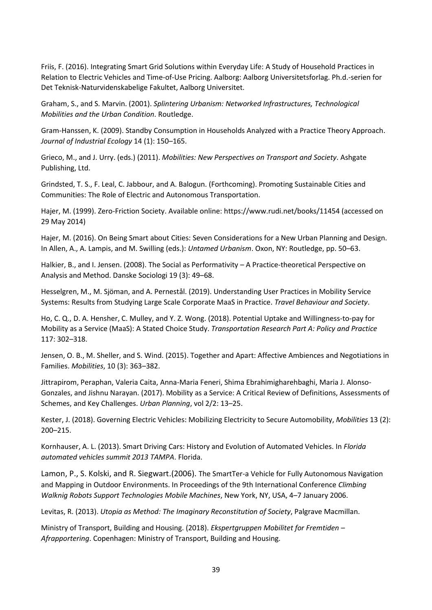Friis, F. (2016). Integrating Smart Grid Solutions within Everyday Life: A Study of Household Practices in Relation to Electric Vehicles and Time-of-Use Pricing. Aalborg: Aalborg Universitetsforlag. Ph.d.-serien for Det Teknisk-Naturvidenskabelige Fakultet, Aalborg Universitet.

Graham, S., and S. Marvin. (2001). *Splintering Urbanism: Networked Infrastructures, Technological Mobilities and the Urban Condition*. Routledge.

Gram-Hanssen, K. (2009). Standby Consumption in Households Analyzed with a Practice Theory Approach. *Journal of Industrial Ecology* 14 (1): 150–165.

Grieco, M., and J. Urry. (eds.) (2011). *Mobilities: New Perspectives on Transport and Society*. Ashgate Publishing, Ltd.

Grindsted, T. S., F. Leal, C. Jabbour, and A. Balogun. (Forthcoming). Promoting Sustainable Cities and Communities: The Role of Electric and Autonomous Transportation.

Hajer, M. (1999). Zero-Friction Society. Available online: https://www.rudi.net/books/11454 (accessed on 29 May 2014)

Hajer, M. (2016). On Being Smart about Cities: Seven Considerations for a New Urban Planning and Design. In Allen, A., A. Lampis, and M. Swilling (eds.): *Untamed Urbanism*. Oxon, NY: Routledge, pp. 50–63.

Halkier, B., and I. Jensen. (2008). The Social as Performativity – A Practice-theoretical Perspective on Analysis and Method. Danske Sociologi 19 (3): 49–68.

Hesselgren, M., M. Sjöman, and A. Pernestål. (2019). Understanding User Practices in Mobility Service Systems: Results from Studying Large Scale Corporate MaaS in Practice. *Travel Behaviour and Society*.

Ho, C. Q., D. A. Hensher, C. Mulley, and Y. Z. Wong. (2018). Potential Uptake and Willingness-to-pay for Mobility as a Service (MaaS): A Stated Choice Study. *Transportation Research Part A: Policy and Practice* 117: 302–318.

Jensen, O. B., M. Sheller, and S. Wind. (2015). Together and Apart: Affective Ambiences and Negotiations in Families. *Mobilities*, 10 (3): 363–382.

Jittrapirom, Peraphan, Valeria Caita, Anna-Maria Feneri, Shima Ebrahimigharehbaghi, Maria J. Alonso-Gonzales, and Jishnu Narayan. (2017). Mobility as a Service: A Critical Review of Definitions, Assessments of Schemes, and Key Challenges. *Urban Planning*, vol 2/2: 13–25.

Kester, J. (2018). Governing Electric Vehicles: Mobilizing Electricity to Secure Automobility, *Mobilities* 13 (2): 200–215.

Kornhauser, A. L. (2013). Smart Driving Cars: History and Evolution of Automated Vehicles. In *Florida automated vehicles summit 2013 TAMPA*. Florida.

Lamon, P., S. Kolski, and R. Siegwart.(2006). The SmartTer-a Vehicle for Fully Autonomous Navigation and Mapping in Outdoor Environments. In Proceedings of the 9th International Conference *Climbing Walknig Robots Support Technologies Mobile Machines*, New York, NY, USA, 4–7 January 2006.

Levitas, R. (2013). *Utopia as Method: The Imaginary Reconstitution of Society*, Palgrave Macmillan.

Ministry of Transport, Building and Housing. (2018). *Ekspertgruppen Mobilitet for Fremtiden – Afrapportering*. Copenhagen: Ministry of Transport, Building and Housing.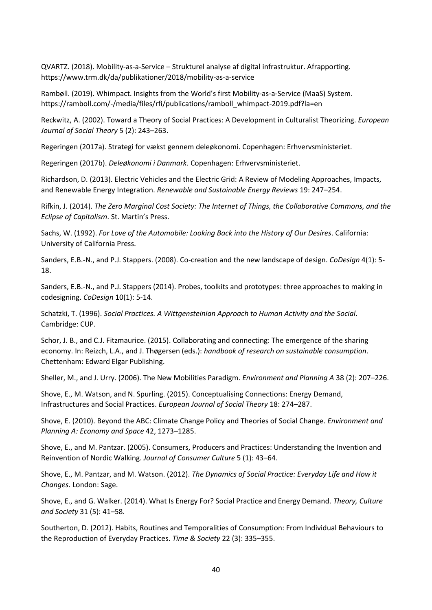QVARTZ. (2018). Mobility-as-a-Service – Strukturel analyse af digital infrastruktur. Afrapporting. https://www.trm.dk/da/publikationer/2018/mobility-as-a-service

Rambøll. (2019). Whimpact. Insights from the World's first Mobility-as-a-Service (MaaS) System. [https://ramboll.com/-/media/files/rfi/publications/ramboll\\_whimpact-2019.pdf?la=en](https://ramboll.com/-/media/files/rfi/publications/ramboll_whimpact-2019.pdf?la=en)

Reckwitz, A. (2002). Toward a Theory of Social Practices: A Development in Culturalist Theorizing. *European Journal of Social Theory* 5 (2): 243–263.

Regeringen (2017a). Strategi for vækst gennem deleøkonomi. Copenhagen: Erhvervsministeriet.

Regeringen (2017b). *Deleøkonomi i Danmark*. Copenhagen: Erhvervsministeriet.

Richardson, D. (2013). Electric Vehicles and the Electric Grid: A Review of Modeling Approaches, Impacts, and Renewable Energy Integration. *Renewable and Sustainable Energy Reviews* 19: 247–254.

Rifkin, J. (2014). *The Zero Marginal Cost Society: The Internet of Things, the Collaborative Commons, and the Eclipse of Capitalism*. St. Martin's Press.

Sachs, W. (1992). *For Love of the Automobile: Looking Back into the History of Our Desires*. California: University of California Press.

Sanders, E.B.-N., and P.J. Stappers. (2008). Co-creation and the new landscape of design. *CoDesign* 4(1): 5- 18.

Sanders, E.B.-N., and P.J. Stappers (2014). Probes, toolkits and prototypes: three approaches to making in codesigning. *CoDesign* 10(1): 5-14.

Schatzki, T. (1996). *Social Practices. A Wittgensteinian Approach to Human Activity and the Social*. Cambridge: CUP.

Schor, J. B., and C.J. Fitzmaurice. (2015). Collaborating and connecting: The emergence of the sharing economy. In: Reizch, L.A., and J. Thøgersen (eds.): *handbook of research on sustainable consumption*. Chettenham: Edward Elgar Publishing.

Sheller, M., and J. Urry. (2006). The New Mobilities Paradigm. *Environment and Planning A* 38 (2): 207–226.

Shove, E., M. Watson, and N. Spurling. (2015). Conceptualising Connections: Energy Demand, Infrastructures and Social Practices. *European Journal of Social Theory* 18: 274–287.

Shove, E. (2010). Beyond the ABC: Climate Change Policy and Theories of Social Change. *Environment and Planning A: Economy and Space* 42, 1273–1285.

Shove, E., and M. Pantzar. (2005). Consumers, Producers and Practices: Understanding the Invention and Reinvention of Nordic Walking. *Journal of Consumer Culture* 5 (1): 43–64.

Shove, E., M. Pantzar, and M. Watson. (2012). *The Dynamics of Social Practice: Everyday Life and How it Changes*. London: Sage.

Shove, E., and G. Walker. (2014). What Is Energy For? Social Practice and Energy Demand. *Theory, Culture and Society* 31 (5): 41–58.

Southerton, D. (2012). Habits, Routines and Temporalities of Consumption: From Individual Behaviours to the Reproduction of Everyday Practices. *Time & Society* 22 (3): 335–355.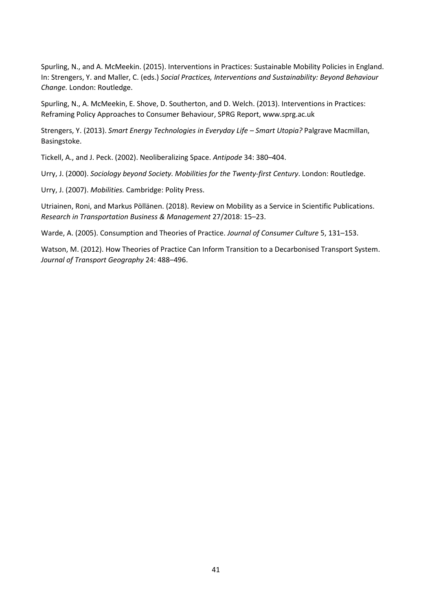Spurling, N., and A. McMeekin. (2015). Interventions in Practices: Sustainable Mobility Policies in England. In: Strengers, Y. and Maller, C. (eds.) *Social Practices, Interventions and Sustainability: Beyond Behaviour Change.* London: Routledge.

Spurling, N., A. McMeekin, E. Shove, D. Southerton, and D. Welch. (2013). Interventions in Practices: Reframing Policy Approaches to Consumer Behaviour, SPRG Report, www.sprg.ac.uk

Strengers, Y. (2013). *Smart Energy Technologies in Everyday Life – Smart Utopia?* Palgrave Macmillan, Basingstoke.

Tickell, A., and J. Peck. (2002). Neoliberalizing Space. *Antipode* 34: 380–404.

Urry, J. (2000). *Sociology beyond Society. Mobilities for the Twenty-first Century*. London: Routledge.

Urry, J. (2007). *Mobilities.* Cambridge: Polity Press.

Utriainen, Roni, and Markus Pöllänen. (2018). Review on Mobility as a Service in Scientific Publications. *Research in Transportation Business & Management* 27/2018: 15–23.

Warde, A. (2005). Consumption and Theories of Practice. *Journal of Consumer Culture* 5, 131–153.

Watson, M. (2012). How Theories of Practice Can Inform Transition to a Decarbonised Transport System. *Journal of Transport Geography* 24: 488–496.